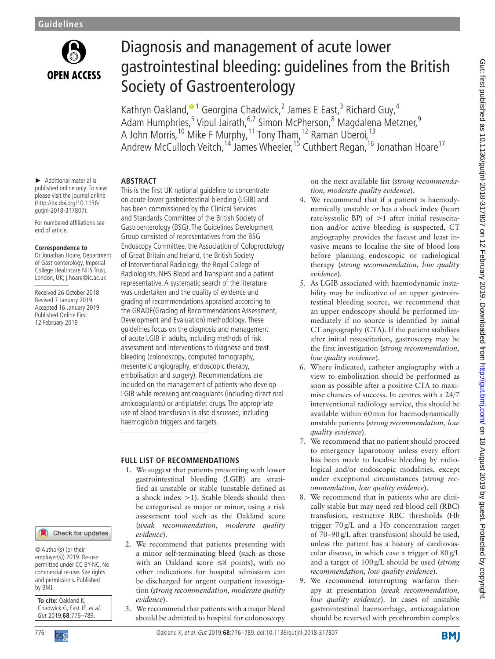

# Diagnosis and management of acute lower gastrointestinal bleeding: guidelines from the British Society of Gastroenterology

Kathryn Oakland,<sup>® 1</sup> Georgina Chadwick,<sup>2</sup> James E East,<sup>3</sup> Richard Guy,<sup>4</sup> Adam Humphries,<sup>[5](http://orcid.org/0000-0003-0280-1138)</sup> Vipul Jairath,<sup>6,7</sup> Simon McPherson,<sup>8</sup> Magdalena Metzner,<sup>9</sup> A John Morris,<sup>10</sup> Mike F Murphy,<sup>11</sup> Tony Tham,<sup>12</sup> Raman Uberoi,<sup>13</sup> Andrew McCulloch Veitch,<sup>14</sup> James Wheeler,<sup>15</sup> Cuthbert Regan,<sup>16</sup> Jonathan Hoare<sup>17</sup>

► Additional material is published online only. To view please visit the journal online (http://dx.doi.org/10.1136/ gutjnl-2018-317807).

For numbered affiliations see end of article.

#### **Correspondence to**

Dr Jonathan Hoare, Department of Gastroenterology, Imperial College Healthcare NHS Trust, London, UK; j.hoare@ic.ac.uk

Received 26 October 2018 Revised 7 January 2019 Accepted 16 January 2019 Published Online First 12 February 2019

# **Abstract**

This is the first UK national guideline to concentrate on acute lower gastrointestinal bleeding (LGIB) and has been commissioned by the Clinical Services and Standards Committee of the British Society of Gastroenterology (BSG). The Guidelines Development Group consisted of representatives from the BSG Endoscopy Committee, the Association of Coloproctology of Great Britain and Ireland, the British Society of Interventional Radiology, the Royal College of Radiologists, NHS Blood and Transplant and a patient representative. A systematic search of the literature was undertaken and the quality of evidence and grading of recommendations appraised according to the GRADE(Grading of Recommendations Assessment, Development and Evaluation) methodology. These guidelines focus on the diagnosis and management of acute LGIB in adults, including methods of risk assessment and interventions to diagnose and treat bleeding (colonoscopy, computed tomography, mesenteric angiography, endoscopic therapy, embolisation and surgery). Recommendations are included on the management of patients who develop LGIB while receiving anticoagulants (including direct oral anticoagulants) or antiplatelet drugs. The appropriate use of blood transfusion is also discussed, including haemoglobin triggers and targets.

# **FULL LIST OF RECOMMENDATIONS**

- 1. We suggest that patients presenting with lower gastrointestinal bleeding (LGIB) are stratified as unstable or stable (unstable defined as a shock index >1). Stable bleeds should then be categorised as major or minor, using a risk assessment tool such as the Oakland score (*weak recommendation, moderate quality evidence*).
- 2. We recommend that patients presenting with a minor self-terminating bleed (such as those with an Oakland score ≤8 points), with no other indications for hospital admission can be discharged for urgent outpatient investigation (*strong recommendation, moderate quality evidence*).
- 3. We recommend that patients with a major bleed should be admitted to hospital for colonoscopy

on the next available list (*strong recommendation, moderate quality evidence*).

- 4. We recommend that if a patient is haemodynamically unstable or has a shock index (heart rate/systolic BP) of >1 after initial resuscitation and/or active bleeding is suspected, CT angiography provides the fastest and least invasive means to localise the site of blood loss before planning endoscopic or radiological therapy (*strong recommendation, low quality evidence*).
- 5. As LGIB associated with haemodynamic instability may be indicative of an upper gastrointestinal bleeding source, we recommend that an upper endoscopy should be performed immediately if no source is identified by initial CT angiography (CTA). If the patient stabilises after initial resuscitation, gastroscopy may be the first investigation (*strong recommendation, low quality evidence*).
- 6. Where indicated, catheter angiography with a view to embolisation should be performed as soon as possible after a positive CTA to maximise chances of success. In centres with a 24/7 interventional radiology service, this should be available within 60min for haemodynamically unstable patients (*strong recommendation, low quality evidence*).
- 7. We recommend that no patient should proceed to emergency laparotomy unless every effort has been made to localise bleeding by radiological and/or endoscopic modalities, except under exceptional circumstances (*strong recommendation, low quality evidence*).
- 8. We recommend that in patients who are clinically stable but may need red blood cell (RBC) transfusion, restrictive RBC thresholds (Hb trigger 70g/L and a Hb concentration target of 70–90g/L after transfusion) should be used, unless the patient has a history of cardiovascular disease, in which case a trigger of 80g/L and a target of 100g/L should be used (*strong recommendation, low quality evidence*).
- 9. We recommend interrupting warfarin therapy at presentation (*weak recommendation, low quality evidence*). In cases of unstable gastrointestinal haemorrhage, anticoagulation should be reversed with prothrombin complex

#### Check for updates

© Author(s) (or their employer(s)) 2019. Re-use permitted under CC BY-NC. No commercial re-use. See rights and permissions. Published by BMJ.

**To cite:** Oakland K, Chadwick G, East JE, et al. Gut 2019;**68**:776–789.

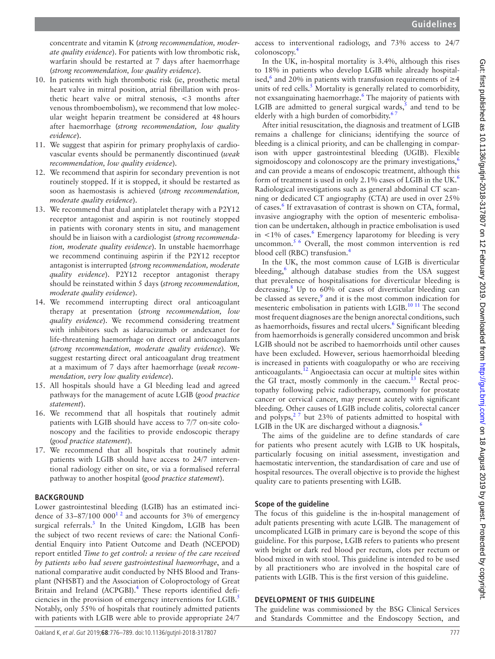concentrate and vitamin K (*strong recommendation, moderate quality evidence*). For patients with low thrombotic risk, warfarin should be restarted at 7 days after haemorrhage (*strong recommendation, low quality evidence*).

- 10. In patients with high thrombotic risk (ie, prosthetic metal heart valve in mitral position, atrial fibrillation with prosthetic heart valve or mitral stenosis, <3 months after venous thromboembolism), we recommend that low molecular weight heparin treatment be considered at 48hours after haemorrhage (*strong recommendation, low quality evidence*).
- 11. We suggest that aspirin for primary prophylaxis of cardiovascular events should be permanently discontinued (*weak recommendation, low quality evidence*).
- 12. We recommend that aspirin for secondary prevention is not routinely stopped. If it is stopped, it should be restarted as soon as haemostasis is achieved (*strong recommendation, moderate quality evidence*).
- 13. We recommend that dual antiplatelet therapy with a P2Y12 receptor antagonist and aspirin is not routinely stopped in patients with coronary stents in situ, and management should be in liaison with a cardiologist (*strong recommendation, moderate quality evidence*). In unstable haemorrhage we recommend continuing aspirin if the P2Y12 receptor antagonist is interrupted (*strong recommendation, moderate quality evidence*). P2Y12 receptor antagonist therapy should be reinstated within 5 days (*strong recommendation, moderate quality evidence*).
- 14. We recommend interrupting direct oral anticoagulant therapy at presentation (*strong recommendation, low quality evidence*). We recommend considering treatment with inhibitors such as idarucizumab or andexanet for life-threatening haemorrhage on direct oral anticoagulants (*strong recommendation, moderate quality evidence*). We suggest restarting direct oral anticoagulant drug treatment at a maximum of 7 days after haemorrhage (*weak recommendation, very low quality evidence*).
- 15. All hospitals should have a GI bleeding lead and agreed pathways for the management of acute LGIB (*good practice statement*).
- 16. We recommend that all hospitals that routinely admit patients with LGIB should have access to 7/7 on-site colonoscopy and the facilities to provide endoscopic therapy (*good practice statement*).
- 17. We recommend that all hospitals that routinely admit patients with LGIB should have access to 24/7 interventional radiology either on site, or via a formalised referral pathway to another hospital (*good practice statement*).

#### **BACKGROUND**

Lower gastrointestinal bleeding (LGIB) has an estimated incidence of  $33-87/100 000<sup>12</sup>$  and accounts for 3% of emergency surgical referrals.<sup>3</sup> In the United Kingdom, LGIB has been the subject of two recent reviews of care: the National Confidential Enquiry into Patient Outcome and Death (NCEPOD) report entitled *Time to get control: a review of the care received by patients who had severe gastrointestinal haemorrhage*, and a national comparative audit conducted by NHS Blood and Transplant (NHSBT) and the Association of Coloproctology of Great Britain and Ireland (ACPGBI).<sup>[4](#page-11-2)</sup> These reports identified deficiencies in the provision of emergency interventions for LGIB.<sup>5</sup> Notably, only 55% of hospitals that routinely admitted patients with patients with LGIB were able to provide appropriate 24/7

access to interventional radiology, and 73% access to 24/7 colonoscopy.[4](#page-11-2)

In the UK, in-hospital mortality is 3.4%, although this rises to 18% in patients who develop LGIB while already hospitalised,<sup>6</sup> and 20% in patients with transfusion requirements of  $\geq$ 4 units of red cells.<sup>[5](#page-11-3)</sup> Mortality is generally related to comorbidity, not exsanguinating haemorrhage.<sup>6</sup> The majority of patients with LGIB are admitted to general surgical wards, $<sup>5</sup>$  $<sup>5</sup>$  $<sup>5</sup>$  and tend to be</sup> elderly with a high burden of comorbidity.<sup>6</sup>

After initial resuscitation, the diagnosis and treatment of LGIB remains a challenge for clinicians; identifying the source of bleeding is a clinical priority, and can be challenging in comparison with upper gastrointestinal bleeding (UGIB). Flexible sigmoidoscopy and colonoscopy are the primary investigations, $\frac{6}{10}$  $\frac{6}{10}$  $\frac{6}{10}$ and can provide a means of endoscopic treatment, although this form of treatment is used in only 2.1% cases of LGIB in the UK.<sup>[6](#page-11-4)</sup> Radiological investigations such as general abdominal CT scanning or dedicated CT angiography (CTA) are used in over 25% of cases.<sup>[6](#page-11-4)</sup> If extravasation of contrast is shown on CTA, formal, invasive angiography with the option of mesenteric embolisation can be undertaken, although in practice embolisation is used in  $< 1\%$  of cases.<sup>6</sup> Emergency laparotomy for bleeding is very uncommon.<sup>[5 6](#page-11-3)</sup> Overall, the most common intervention is red blood cell (RBC) transfusion.<sup>4</sup>

In the UK, the most common cause of LGIB is diverticular bleeding,<sup>[6](#page-11-4)</sup> although database studies from the USA suggest that prevalence of hospitalisations for diverticular bleeding is decreasing.<sup>[8](#page-11-5)</sup> Up to 60% of cases of diverticular bleeding can be classed as severe, $9$  and it is the most common indication for mesenteric embolisation in patients with LGIB.<sup>10 11</sup> The second most frequent diagnoses are the benign anorectal conditions, such as haemorrhoids, fissures and rectal ulcers.<sup>[6](#page-11-4)</sup> Significant bleeding from haemorrhoids is generally considered uncommon and brisk LGIB should not be ascribed to haemorrhoids until other causes have been excluded. However, serious haemorrhoidal bleeding is increased in patients with coagulopathy or who are receiving anticoagulants[.12](#page-11-8) Angioectasia can occur at multiple sites within the GI tract, mostly commonly in the caecum. $^{13}$  Rectal proctopathy following pelvic radiotherapy, commonly for prostate cancer or cervical cancer, may present acutely with significant bleeding. Other causes of LGIB include colitis, colorectal cancer and polyps, $27$  but 23% of patients admitted to hospital with LGIB in the UK are discharged without a diagnosis.<sup>6</sup>

The aims of the guideline are to define standards of care for patients who present acutely with LGIB to UK hospitals, particularly focusing on initial assessment, investigation and haemostatic intervention, the standardisation of care and use of hospital resources. The overall objective is to provide the highest quality care to patients presenting with LGIB.

#### **Scope of the guideline**

The focus of this guideline is the in-hospital management of adult patients presenting with acute LGIB. The management of uncomplicated LGIB in primary care is beyond the scope of this guideline. For this purpose, LGIB refers to patients who present with bright or dark red blood per rectum, clots per rectum or blood mixed in with stool. This guideline is intended to be used by all practitioners who are involved in the hospital care of patients with LGIB. This is the first version of this guideline.

#### **Development of this guideline**

The guideline was commissioned by the BSG Clinical Services and Standards Committee and the Endoscopy Section, and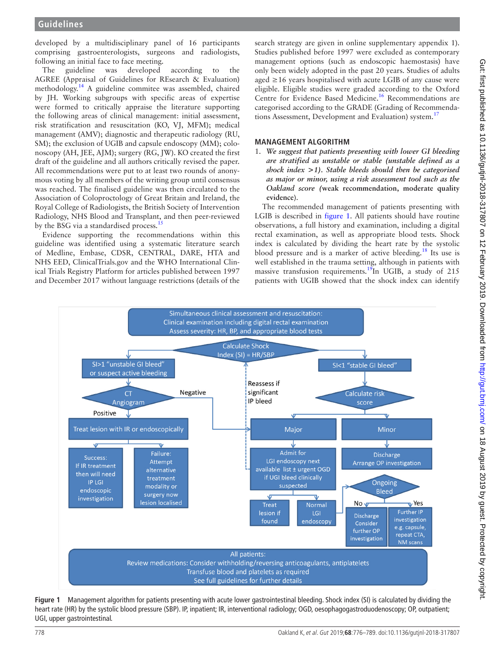developed by a multidisciplinary panel of 16 participants comprising gastroenterologists, surgeons and radiologists, following an initial face to face meeting.

The guideline was developed according to the AGREE (Appraisal of Guidelines for REsearch & Evaluation) methodology[.14](#page-11-11) A guideline commitee was assembled, chaired by JH. Working subgroups with specific areas of expertise were formed to critically appraise the literature supporting the following areas of clinical management: initial assessment, risk stratification and resuscitation (KO, VJ, MFM); medical management (AMV); diagnostic and therapeutic radiology (RU, SM); the exclusion of UGIB and capsule endoscopy (MM); colonoscopy (AH, JEE, AJM); surgery (RG, JW). KO created the first draft of the guideline and all authors critically revised the paper. All recommendations were put to at least two rounds of anonymous voting by all members of the writing group until consensus was reached. The finalised guideline was then circulated to the Association of Coloproctology of Great Britain and Ireland, the Royal College of Radiologists, the British Society of Intervention Radiology, NHS Blood and Transplant, and then peer-reviewed by the BSG via a standardised process.<sup>1</sup>

Evidence supporting the recommendations within this guideline was identified using a systematic literature search of Medline, Embase, CDSR, CENTRAL, DARE, HTA and NHS EED, ClinicalTrials.gov and the WHO International Clinical Trials Registry Platform for articles published between 1997 and December 2017 without language restrictions (details of the

search strategy are given in online [supplementary appendix 1\)](https://dx.doi.org/10.1136/gutjnl-2018-317807). Studies published before 1997 were excluded as contemporary management options (such as endoscopic haemostasis) have only been widely adopted in the past 20 years. Studies of adults aged ≥16 years hospitalised with acute LGIB of any cause were eligible. Eligible studies were graded according to the Oxford Centre for Evidence Based Medicine.<sup>[16](#page-11-13)</sup> Recommendations are categorised according to the GRADE (Grading of Recommenda-tions Assessment, Development and Evaluation) system.<sup>[17](#page-11-14)</sup>

# **Management algorithm**

1. *We suggest that patients presenting with lower GI bleeding are stratified as unstable or stable (unstable defined as a shock index >1). Stable bleeds should then be categorised as major or minor, using a risk assessment tool such as the Oakland score (***weak recommendation, moderate quality evidence**).

The recommended management of patients presenting with LGIB is described in [figure](#page-2-0) 1. All patients should have routine observations, a full history and examination, including a digital rectal examination, as well as appropriate blood tests. Shock index is calculated by dividing the heart rate by the systolic blood pressure and is a marker of active bleeding.<sup>[18](#page-11-15)</sup> Its use is well established in the trauma setting, although in patients with massive transfusion requirements.<sup>[19](#page-11-16)</sup>In UGIB, a study of 215 patients with UGIB showed that the shock index can identify



<span id="page-2-0"></span>**Figure 1** Management algorithm for patients presenting with acute lower gastrointestinal bleeding. Shock index (SI) is calculated by dividing the heart rate (HR) by the systolic blood pressure (SBP). IP, inpatient; IR, interventional radiology; OGD, oesophagogastroduodenoscopy; OP, outpatient; UGI, upper gastrointestinal.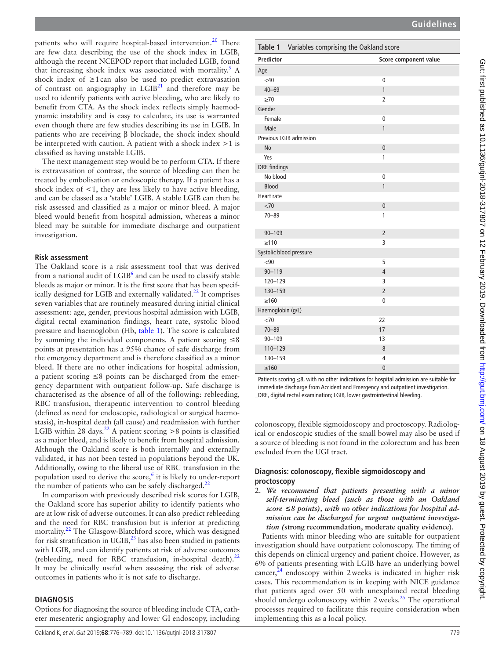patients who will require hospital-based intervention.<sup>20</sup> There are few data describing the use of the shock index in LGIB, although the recent NCEPOD report that included LGIB, found that increasing shock index was associated with mortality.<sup>5</sup> A shock index of  $\geq 1$  can also be used to predict extravasation of contrast on angiography in  $LGIB<sup>21</sup>$  and therefore may be used to identify patients with active bleeding, who are likely to benefit from CTA. As the shock index reflects simply haemodynamic instability and is easy to calculate, its use is warranted even though there are few studies describing its use in LGIB. In patients who are receiving β blockade, the shock index should be interpreted with caution. A patient with a shock index >1 is classified as having unstable LGIB.

The next management step would be to perform CTA. If there is extravasation of contrast, the source of bleeding can then be treated by embolisation or endoscopic therapy. If a patient has a shock index of  $\leq 1$ , they are less likely to have active bleeding, and can be classed as a 'stable' LGIB. A stable LGIB can then be risk assessed and classified as a major or minor bleed. A major bleed would benefit from hospital admission, whereas a minor bleed may be suitable for immediate discharge and outpatient investigation.

#### **Risk assessment**

The Oakland score is a risk assessment tool that was derived from a national audit of LGIB<sup>6</sup> and can be used to classify stable bleeds as major or minor. It is the first score that has been specif-ically designed for LGIB and externally validated.<sup>[22](#page-11-19)</sup> It comprises seven variables that are routinely measured during initial clinical assessment: age, gender, previous hospital admission with LGIB, digital rectal examination findings, heart rate, systolic blood pressure and haemoglobin (Hb, [table](#page-3-0) 1). The score is calculated by summing the individual components. A patient scoring  $\leq 8$ points at presentation has a 95% chance of safe discharge from the emergency department and is therefore classified as a minor bleed. If there are no other indications for hospital admission, a patient scoring ≤8 points can be discharged from the emergency department with outpatient follow-up. Safe discharge is characterised as the absence of all of the following: rebleeding, RBC transfusion, therapeutic intervention to control bleeding (defined as need for endoscopic, radiological or surgical haemostasis), in-hospital death (all cause) and readmission with further LGIB within 28 days.<sup>[22](#page-11-19)</sup> A patient scoring >8 points is classified as a major bleed, and is likely to benefit from hospital admission. Although the Oakland score is both internally and externally validated, it has not been tested in populations beyond the UK. Additionally, owing to the liberal use of RBC transfusion in the population used to derive the score,<sup>[6](#page-11-4)</sup> it is likely to under-report the number of patients who can be safely discharged. $^{22}$ 

In comparison with previously described risk scores for LGIB, the Oakland score has superior ability to identify patients who are at low risk of adverse outcomes. It can also predict rebleeding and the need for RBC transfusion but is inferior at predicting mortality.<sup>22</sup> The Glasgow-Blatchford score, which was designed for risk stratification in  $UGIB$ ,<sup>23</sup> has also been studied in patients with LGIB, and can identify patients at risk of adverse outcomes (rebleeding, need for RBC transfusion, in-hospital death). $^{22}$  $^{22}$  $^{22}$ It may be clinically useful when assessing the risk of adverse outcomes in patients who it is not safe to discharge.

#### **Diagnosis**

Options for diagnosing the source of bleeding include CTA, catheter mesenteric angiography and lower GI endoscopy, including

<span id="page-3-0"></span>

| <b>Predictor</b>        | Score component value |
|-------------------------|-----------------------|
| Age                     |                       |
| <40                     | $\mathbf 0$           |
| $40 - 69$               | $\mathbf{1}$          |
| $\geq 70$               | $\overline{2}$        |
| Gender                  |                       |
| Female                  | $\mathbf 0$           |
| Male                    | $\mathbf{1}$          |
| Previous LGIB admission |                       |
| <b>No</b>               | $\mathbf{0}$          |
| Yes                     | 1                     |
| <b>DRE</b> findings     |                       |
| No blood                | $\mathbf 0$           |
| <b>Blood</b>            | $\mathbf{1}$          |
| Heart rate              |                       |
| < 70                    | $\mathbf 0$           |
| $70 - 89$               | 1                     |
| $90 - 109$              | $\overline{2}$        |
| $\geq$ 110              | 3                     |
| Systolic blood pressure |                       |
| <90                     | 5                     |
| $90 - 119$              | $\overline{4}$        |
| 120-129                 | 3                     |
| 130-159                 | $\overline{2}$        |
| $\geq 160$              | $\mathbf 0$           |
| Haemoglobin (g/L)       |                       |
| < 70                    | 22                    |
| $70 - 89$               | 17                    |
| $90 - 109$              | 13                    |
| 110-129                 | 8                     |
| 130-159                 | $\overline{4}$        |
| $\geq 160$              | $\overline{0}$        |

Patients scoring ≤8, with no other indications for hospital admission are suitable for immediate discharge from Accident and Emergency and outpatient investigation. DRE, digital rectal examination; LGIB, lower gastrointestinal bleeding.

colonoscopy, flexible sigmoidoscopy and proctoscopy. Radiological or endoscopic studies of the small bowel may also be used if a source of bleeding is not found in the colorectum and has been excluded from the UGI tract.

#### **Diagnosis: colonoscopy, flexible sigmoidoscopy and proctoscopy**

2. *We recommend that patients presenting with a minor self-terminating bleed (such as those with an Oakland score ≤8 points), with no other indications for hospital admission can be discharged for urgent outpatient investigation (***strong recommendation, moderate quality evidence**).

Patients with minor bleeding who are suitable for outpatient investigation should have outpatient colonoscopy. The timing of this depends on clinical urgency and patient choice. However, as 6% of patients presenting with LGIB have an underlying bowel cancer, $^{24}$  $^{24}$  $^{24}$  endoscopy within 2 weeks is indicated in higher risk cases. This recommendation is in keeping with NICE guidance that patients aged over 50 with unexplained rectal bleeding should undergo colonoscopy within  $2$  weeks.<sup>25</sup> The operational processes required to facilitate this require consideration when implementing this as a local policy.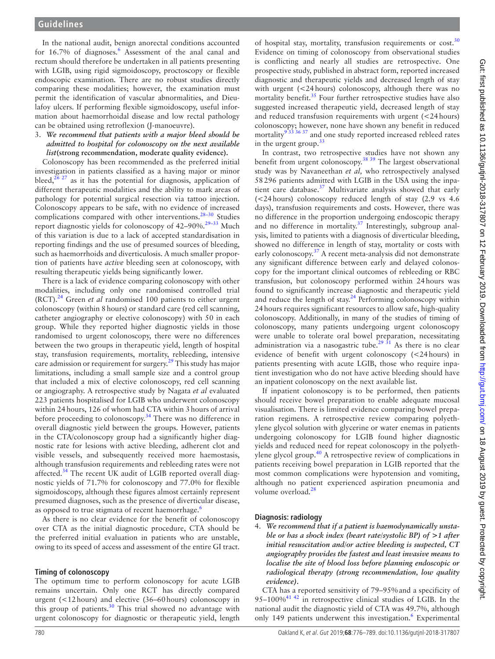In the national audit, benign anorectal conditions accounted for 1[6](#page-11-4).7% of diagnoses.<sup>6</sup> Assessment of the anal canal and rectum should therefore be undertaken in all patients presenting with LGIB, using rigid sigmoidoscopy, proctoscopy or flexible endoscopic examination. There are no robust studies directly comparing these modalities; however, the examination must permit the identification of vascular abnormalities, and Dieulafoy ulcers. If performing flexible sigmoidoscopy, useful information about haemorrhoidal disease and low rectal pathology can be obtained using retroflexion (J-manoeuvre).

#### 3. *We recommend that patients with a major bleed should be admitted to hospital for colonoscopy on the next available list***(strong recommendation, moderate quality evidence).**

Colonoscopy has been recommended as the preferred initial investigation in patients classified as a having major or minor bleed, $26$   $27$  as it has the potential for diagnosis, application of different therapeutic modalities and the ability to mark areas of pathology for potential surgical resection via tattoo injection. Colonoscopy appears to be safe, with no evidence of increased complications compared with other interventions.<sup>28-30</sup> Studies report diagnostic yields for colonoscopy of 42–90%.<sup>29-33</sup> Much of this variation is due to a lack of accepted standardisation in reporting findings and the use of presumed sources of bleeding, such as haemorrhoids and diverticulosis. A much smaller proportion of patients have *active* bleeding seen at colonoscopy, with resulting therapeutic yields being significantly lower.

There is a lack of evidence comparing colonoscopy with other modalities, including only one randomised controlled trial (RCT).[24](#page-11-21) Green *et al* randomised 100 patients to either urgent colonoscopy (within 8hours) or standard care (red cell scanning, catheter angiography or elective colonoscopy) with 50 in each group. While they reported higher diagnostic yields in those randomised to urgent colonoscopy, there were no differences between the two groups in therapeutic yield, length of hospital stay, transfusion requirements, mortality, rebleeding, intensive care admission or requirement for surgery.<sup>29</sup> This study has major limitations, including a small sample size and a control group that included a mix of elective colonoscopy, red cell scanning or angiography. A retrospective study by Nagata *et al* evaluated 223 patients hospitalised for LGIB who underwent colonoscopy within 24hours, 126 of whom had CTA within 3hours of arrival before proceeding to colonoscopy.<sup>34</sup> There was no difference in overall diagnostic yield between the groups. However, patients in the CTA/colonoscopy group had a significantly higher diagnostic rate for lesions with active bleeding, adherent clot and visible vessels, and subsequently received more haemostasis, although transfusion requirements and rebleeding rates were not affected.<sup>34</sup> The recent UK audit of LGIB reported overall diagnostic yields of 71.7% for colonoscopy and 77.0% for flexible sigmoidoscopy, although these figures almost certainly represent presumed diagnoses, such as the presence of diverticular disease, as opposed to true stigmata of recent haemorrhage.<sup>[6](#page-11-4)</sup>

As there is no clear evidence for the benefit of colonoscopy over CTA as the initial diagnostic procedure, CTA should be the preferred initial evaluation in patients who are unstable, owing to its speed of access and assessment of the entire GI tract.

#### **Timing of colonoscopy**

The optimum time to perform colonoscopy for acute LGIB remains uncertain. Only one RCT has directly compared urgent (<12hours) and elective (36–60hours) colonoscopy in this group of patients.<sup>30</sup> This trial showed no advantage with urgent colonoscopy for diagnostic or therapeutic yield, length

of hospital stay, mortality, transfusion requirements or  $cost^{30}$  $cost^{30}$  $cost^{30}$ . Evidence on timing of colonoscopy from observational studies is conflicting and nearly all studies are retrospective. One prospective study, published in abstract form, reported increased diagnostic and therapeutic yields and decreased length of stay with urgent (<24hours) colonoscopy, although there was no mortality benefit.<sup>35</sup> Four further retrospective studies have also suggested increased therapeutic yield, decreased length of stay and reduced transfusion requirements with urgent (<24hours) colonoscopy; however, none have shown any benefit in reduced mortality<sup>933 36 37</sup> and one study reported increased rebleed rates in the urgent group.<sup>[33](#page-11-29)</sup>

In contrast, two retrospective studies have not shown any benefit from urgent colonoscopy.<sup>[38 39](#page-11-30)</sup> The largest observational study was by Navaneethan *et al,* who retrospectively analysed 58296 patients admitted with LGIB in the USA using the inpatient care database.<sup>37</sup> Multivariate analysis showed that early (<24hours) colonoscopy reduced length of stay (2.9 vs 4.6 days), transfusion requirements and costs. However, there was no difference in the proportion undergoing endoscopic therapy and no difference in mortality.<sup>37</sup> Interestingly, subgroup analysis, limited to patients with a diagnosis of diverticular bleeding, showed no difference in length of stay, mortality or costs with early colonoscopy.<sup>[37](#page-11-31)</sup> A recent meta-analysis did not demonstrate any significant difference between early and delayed colonoscopy for the important clinical outcomes of rebleeding or RBC transfusion, but colonoscopy performed within 24hours was found to significantly increase diagnostic and therapeutic yield and reduce the length of stay.<sup>[24](#page-11-21)</sup> Performing colonoscopy within 24hours requires significant resources to allow safe, high-quality colonoscopy. Additionally, in many of the studies of timing of colonoscopy, many patients undergoing urgent colonoscopy were unable to tolerate oral bowel preparation, necessitating administration via a nasogastric tube.<sup>29 31</sup> As there is no clear evidence of benefit with urgent colonoscopy (<24hours) in patients presenting with acute LGIB, those who require inpatient investigation who do not have active bleeding should have an inpatient colonoscopy on the next available list.

If inpatient colonoscopy is to be performed, then patients should receive bowel preparation to enable adequate mucosal visualisation. There is limited evidence comparing bowel preparation regimens. A retrospective review comparing polyethylene glycol solution with glycerine or water enemas in patients undergoing colonoscopy for LGIB found higher diagnostic yields and reduced need for repeat colonoscopy in the polyethylene glycol group. $40$  A retrospective review of complications in patients receiving bowel preparation in LGIB reported that the most common complications were hypotension and vomiting, although no patient experienced aspiration pneumonia and volume overload.<sup>[28](#page-11-24)</sup>

#### **Diagnosis: radiology**

4. *We recommend that if a patient is haemodynamically unstable or has a shock index (heart rate/systolic BP) of >1 after initial resuscitation and/or active bleeding is suspected, CT angiography provides the fastest and least invasive means to localise the site of blood loss before planning endoscopic or radiological therapy (strong recommendation, low quality evidence).*

CTA has a reported sensitivity of 79–95%and a specificity of 95–100% $^{41}$   $^{42}$  in retrospective clinical studies of LGIB. In the national audit the diagnostic yield of CTA was 49.7%, although only 149 patients underwent this investigation.<sup>[6](#page-11-4)</sup> Experimental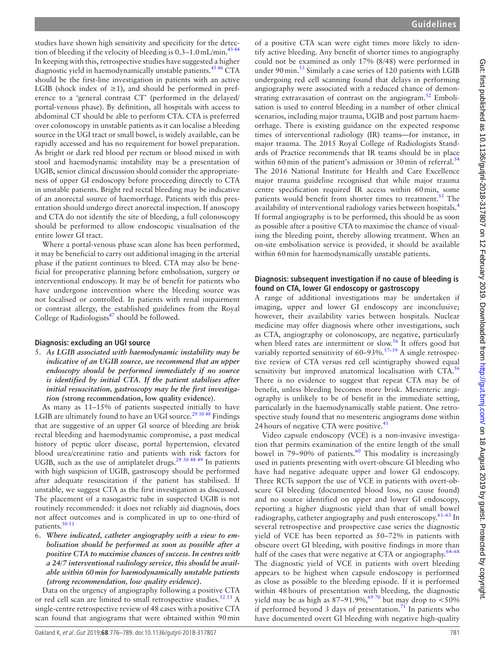studies have shown high sensitivity and specificity for the detection of bleeding if the velocity of bleeding is  $0.3-1.0$  mL/min.<sup>[43 44](#page-11-34)</sup> In keeping with this, retrospective studies have suggested a higher diagnostic yield in haemodynamically unstable patients.<sup>45 46</sup> CTA should be the first-line investigation in patients with an active LGIB (shock index of  $\geq$ 1), and should be performed in preference to a 'general contrast CT' (performed in the delayed/ portal-venous phase). By definition, all hospitals with access to abdominal CT should be able to perform CTA. CTA is preferred over colonoscopy in unstable patients as it can localise a bleeding source in the UGI tract or small bowel, is widely available, can be rapidly accessed and has no requirement for bowel preparation. As bright or dark red blood per rectum or blood mixed in with stool and haemodynamic instability may be a presentation of UGIB, senior clinical discussion should consider the appropriateness of upper GI endoscopy before proceeding directly to CTA in unstable patients. Bright red rectal bleeding may be indicative of an anorectal source of haemorrhage. Patients with this presentation should undergo direct anorectal inspection. If anoscopy and CTA do not identify the site of bleeding, a full colonoscopy should be performed to allow endoscopic visualisation of the entire lower GI tract.

Where a portal-venous phase scan alone has been performed, it may be beneficial to carry out additional imaging in the arterial phase if the patient continues to bleed. CTA may also be beneficial for preoperative planning before embolisation, surgery or interventional endoscopy. It may be of benefit for patients who have undergone intervention where the bleeding source was not localised or controlled. In patients with renal impairment or contrast allergy, the established guidelines from the Royal College of Radiologists $47$  should be followed.

#### **Diagnosis: excluding an UGI source**

5. *As LGIB associated with haemodynamic instability may be indicative of an UGIB source, we recommend that an upper endoscopy should be performed immediately if no source is identified by initial CTA. If the patient stabilises after initial resuscitation, gastroscopy may be the first investigation (***strong recommendation, low quality evidence**).

As many as 11–15% of patients suspected initially to have LGIB are ultimately found to have an UGI source.<sup>[29 30 48](#page-11-25)</sup> Findings that are suggestive of an upper GI source of bleeding are brisk rectal bleeding and haemodynamic compromise, a past medical history of peptic ulcer disease, portal hypertension, elevated blood urea/creatinine ratio and patients with risk factors for UGIB, such as the use of antiplatelet drugs.<sup>[29 30 48 49](#page-11-25)</sup> In patients with high suspicion of UGIB, gastroscopy should be performed after adequate resuscitation if the patient has stabilised. If unstable, we suggest CTA as the first investigation as discussed. The placement of a nasogastric tube in suspected UGIB is not routinely recommended: it does not reliably aid diagnosis, does not affect outcomes and is complicated in up to one-third of patients.<sup>[50 51](#page-12-2)</sup>

6. *Where indicated, catheter angiography with a view to embolisation should be performed as soon as possible after a positive CTA to maximise chances of success. In centres with a 24/7 interventional radiology service, this should be available within 60min for haemodynamically unstable patients (strong recommendation, low quality evidence).*

Data on the urgency of angiography following a positive CTA or red cell scan are limited to small retrospective studies.<sup>52 53</sup> A single-centre retrospective review of 48 cases with a positive CTA scan found that angiograms that were obtained within 90min of a positive CTA scan were eight times more likely to identify active bleeding. Any benefit of shorter times to angiography could not be examined as only 17% (8/48) were performed in under 90 min.<sup>53</sup> Similarly a case series of 120 patients with LGIB undergoing red cell scanning found that delays in performing angiography were associated with a reduced chance of demonstrating extravasation of contrast on the angiogram.<sup>52</sup> Embolisation is used to control bleeding in a number of other clinical scenarios, including major trauma, UGIB and post partum haemorrhage. There is existing guidance on the expected response times of interventional radiology (IR) teams—for instance, in major trauma. The 2015 Royal College of Radiologists Standards of Practice recommends that IR teams should be in place within 60 min of the patient's admission or 30 min of referral.<sup>[54](#page-12-5)</sup> The 2016 National Institute for Health and Care Excellence major trauma guideline recognised that while major trauma centre specification required IR access within 60min, some patients would benefit from shorter times to treatment.<sup>[55](#page-12-6)</sup> The availability of interventional radiology varies between hospitals.<sup>[4](#page-11-2)</sup> If formal angiography is to be performed, this should be as soon as possible after a positive CTA to maximise the chance of visualising the bleeding point, thereby allowing treatment. When an on-site embolisation service is provided, it should be available within 60 min for haemodynamically unstable patients.

#### **Diagnosis: subsequent investigation if no cause of bleeding is found on CTA, lower GI endoscopy or gastroscopy**

A range of additional investigations may be undertaken if imaging, upper and lower GI endoscopy are inconclusive; however, their availability varies between hospitals. Nuclear medicine may offer diagnosis where other investigations, such as CTA, angiography or colonoscopy, are negative, particularly when bleed rates are intermittent or slow.<sup>[56](#page-12-7)</sup> It offers good but variably reported sensitivity of  $60-93\%$ .<sup>57-59</sup> A single retrospective review of CTA versus red cell scintigraphy showed equal sensitivity but improved anatomical localisation with CTA.<sup>[56](#page-12-7)</sup> There is no evidence to suggest that repeat CTA may be of benefit, unless bleeding becomes more brisk. Mesenteric angiography is unlikely to be of benefit in the immediate setting, particularly in the haemodynamically stable patient. One retrospective study found that no mesenteric angiograms done within 24 hours of negative CTA were positive.<sup>[41](#page-11-33)</sup>

Video capsule endoscopy (VCE) is a non-invasive investigation that permits examination of the entire length of the small bowel in  $79-90%$  of patients.<sup>[60](#page-12-9)</sup> This modality is increasingly used in patients presenting with overt-obscure GI bleeding who have had negative adequate upper and lower GI endoscopy. Three RCTs support the use of VCE in patients with overt-obscure GI bleeding (documented blood loss, no cause found) and no source identified on upper and lower GI endoscopy, reporting a higher diagnostic yield than that of small bowel radiography, catheter angiography and push enteroscopy.<sup>61-63</sup> In several retrospective and prospective case series the diagnostic yield of VCE has been reported as 50–72% in patients with obscure overt GI bleeding, with positive findings in more than half of the cases that were negative at CTA or angiography.<sup>64-68</sup> The diagnostic yield of VCE in patients with overt bleeding appears to be highest when capsule endoscopy is performed as close as possible to the bleeding episode. If it is performed within 48hours of presentation with bleeding, the diagnostic yield may be as high as  $87-91.9\%$ ,  $69\%$  but may drop to <50% if performed beyond 3 days of presentation.<sup>[71](#page-12-13)</sup> In patients who have documented overt GI bleeding with negative high-quality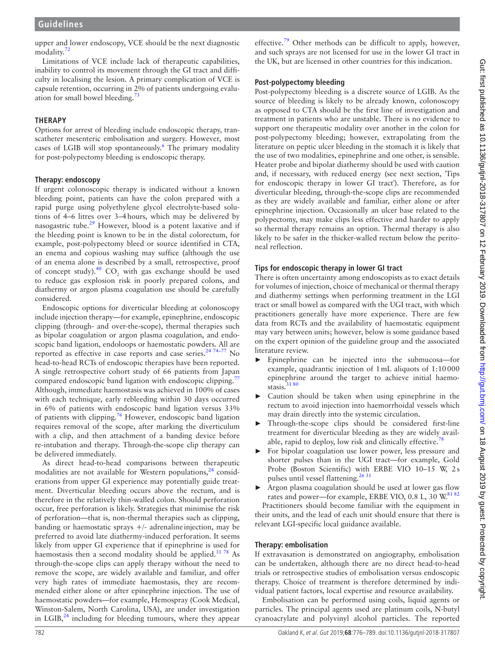upper and lower endoscopy, VCE should be the next diagnostic modality.<sup>7</sup>

Limitations of VCE include lack of therapeutic capabilities, inability to control its movement through the GI tract and difficulty in localising the lesion. A primary complication of VCE is capsule retention, occurring in 2% of patients undergoing evaluation for small bowel bleeding.<sup>73</sup>

# **Therapy**

Options for arrest of bleeding include endoscopic therapy, transcatheter mesenteric embolisation and surgery. However, most cases of LGIB will stop spontaneously.<sup>[6](#page-11-4)</sup> The primary modality for post-polypectomy bleeding is endoscopic therapy.

# **Therapy: endoscopy**

If urgent colonoscopic therapy is indicated without a known bleeding point, patients can have the colon prepared with a rapid purge using polyethylene glycol electrolyte-based solutions of 4–6 litres over 3–4hours, which may be delivered by nasogastric tube. $^{29}$  $^{29}$  $^{29}$  However, blood is a potent laxative and if the bleeding point is known to be in the distal colorectum, for example, post-polypectomy bleed or source identified in CTA, an enema and copious washing may suffice (although the use of an enema alone is described by a small, retrospective, proof of concept study).<sup>[40](#page-11-32)</sup> CO<sub>2</sub> with gas exchange should be used to reduce gas explosion risk in poorly prepared colons, and diathermy or argon plasma coagulation use should be carefully considered.

Endoscopic options for diverticular bleeding at colonoscopy include injection therapy—for example, epinephrine, endoscopic clipping (through- and over-the-scope), thermal therapies such as bipolar coagulation or argon plasma coagulation, and endoscopic band ligation, endoloops or haemostatic powders. All are reported as effective in case reports and case series. $2474-77$  No head-to-head RCTs of endoscopic therapies have been reported. A single retrospective cohort study of 66 patients from Japan compared endoscopic band ligation with endoscopic clipping.<sup>7</sup> Although, immediate haemostasis was achieved in 100% of cases with each technique, early rebleeding within 30 days occurred in 6% of patients with endoscopic band ligation versus 33% of patients with clipping.[76](#page-12-17) However, endoscopic band ligation requires removal of the scope, after marking the diverticulum with a clip, and then attachment of a banding device before re-intubation and therapy. Through-the-scope clip therapy can be delivered immediately.

As direct head-to-head comparisons between therapeutic modalities are not available for Western populations, $24$  considerations from upper GI experience may potentially guide treatment. Diverticular bleeding occurs above the rectum, and is therefore in the relatively thin-walled colon. Should perforation occur, free perforation is likely. Strategies that minimise the risk of perforation—that is, non-thermal therapies such as clipping, banding or haemostatic sprays  $+/-$  adrenaline injection, may be preferred to avoid late diathermy-induced perforation. It seems likely from upper GI experience that if epinephrine is used for haemostasis then a second modality should be applied. $3178$  As through-the-scope clips can apply therapy without the need to remove the scope, are widely available and familiar, and offer very high rates of immediate haemostasis, they are recommended either alone or after epinephrine injection. The use of haemostatic powders—for example, Hemospray (Cook Medical, Winston-Salem, North Carolina, USA), are under investigation in LGIB, $^{24}$  including for bleeding tumours, where they appear

effective.<sup>[79](#page-12-18)</sup> Other methods can be difficult to apply, however, and such sprays are not licensed for use in the lower GI tract in the UK, but are licensed in other countries for this indication.

# **Post-polypectomy bleeding**

Post-polypectomy bleeding is a discrete source of LGIB. As the source of bleeding is likely to be already known, colonoscopy as opposed to CTA should be the first line of investigation and treatment in patients who are unstable. There is no evidence to support one therapeutic modality over another in the colon for post-polypectomy bleeding; however, extrapolating from the literature on peptic ulcer bleeding in the stomach it is likely that the use of two modalities, epinephrine and one other, is sensible. Heater probe and bipolar diathermy should be used with caution and, if necessary, with reduced energy (see next section, 'Tips for endoscopic therapy in lower GI tract'). Therefore, as for diverticular bleeding, through-the-scope clips are recommended as they are widely available and familiar, either alone or after epinephrine injection. Occasionally an ulcer base related to the polypectomy, may make clips less effective and harder to apply so thermal therapy remains an option. Thermal therapy is also likely to be safer in the thicker-walled rectum below the peritoneal reflection.

# **Tips for endoscopic therapy in lower GI tract**

There is often uncertainty among endoscopists as to exact details for volumes of injection, choice of mechanical or thermal therapy and diathermy settings when performing treatment in the LGI tract or small bowel as compared with the UGI tract, with which practitioners generally have more experience. There are few data from RCTs and the availability of haemostatic equipment may vary between units; however, below is some guidance based on the expert opinion of the guideline group and the associated literature review.

- Epinephrine can be injected into the submucosa-for example, quadrantic injection of 1mL aliquots of 1:10000 epinephrine around the target to achieve initial haemostasis.<sup>3180</sup>
- Caution should be taken when using epinephrine in the rectum to avoid injection into haemorrhoidal vessels which may drain directly into the systemic circulation.
- Through-the-scope clips should be considered first-line treatment for diverticular bleeding as they are widely avail-able, rapid to deploy, low risk and clinically effective.<sup>[78](#page-12-19)</sup>
- For bipolar coagulation use lower power, less pressure and shorter pulses than in the UGI tract—for example, Gold Probe (Boston Scientific) with ERBE VIO 10–15 W, 2s pulses until vessel flattening.<sup>26 31</sup>
- Argon plasma coagulation should be used at lower gas flow rates and power—for example, ERBE VIO, 0.8 L, 30 W[.81 82](#page-12-20)

Practitioners should become familiar with the equipment in their units, and the lead of each unit should ensure that there is relevant LGI-specific local guidance available.

#### **Therapy: embolisation**

If extravasation is demonstrated on angiography, embolisation can be undertaken, although there are no direct head-to-head trials or retrospective studies of embolisation versus endoscopic therapy. Choice of treatment is therefore determined by individual patient factors, local expertise and resource availability.

Embolisation can be performed using coils, liquid agents or particles. The principal agents used are platinum coils, N-butyl cyanoacrylate and polyvinyl alcohol particles. The reported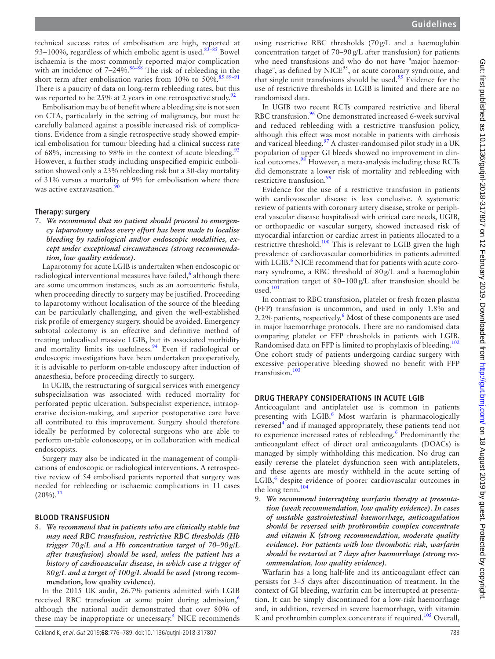technical success rates of embolisation are high, reported at 93-100%, regardless of which embolic agent is used.<sup>83-85</sup> Bowel ischaemia is the most commonly reported major complication with an incidence of 7–24%.<sup>[86–88](#page-12-22)</sup> The risk of rebleeding in the short term after embolisation varies from 10% to 50%.<sup>85 89-91</sup> There is a paucity of data on long-term rebleeding rates, but this was reported to be 25% at 2 years in one retrospective study.<sup>[92](#page-12-24)</sup>

Embolisation may be of benefit where a bleeding site is not seen on CTA, particularly in the setting of malignancy, but must be carefully balanced against a possible increased risk of complications. Evidence from a single retrospective study showed empirical embolisation for tumour bleeding had a clinical success rate of 68%, increasing to 98% in the context of acute bleeding.<sup>[93](#page-12-25)</sup> However, a further study including unspecified empiric embolisation showed only a 23% rebleeding risk but a 30-day mortality of 31% versus a mortality of 9% for embolisation where there was active extravasation.<sup>90</sup>

#### **Therapy: surgery**

7. *We recommend that no patient should proceed to emergency laparotomy unless every effort has been made to localise bleeding by radiological and/or endoscopic modalities, except under exceptional circumstances (strong recommendation, low quality evidence).*

Laparotomy for acute LGIB is undertaken when endoscopic or radiological interventional measures have failed,<sup>[6](#page-11-4)</sup> although there are some uncommon instances, such as an aortoenteric fistula, when proceeding directly to surgery may be justified. Proceeding to laparotomy without localisation of the source of the bleeding can be particularly challenging, and given the well-established risk profile of emergency surgery, should be avoided. Emergency subtotal colectomy is an effective and definitive method of treating unlocalised massive LGIB, but its associated morbidity and mortality limits its usefulness.<sup>94</sup> Even if radiological or endoscopic investigations have been undertaken preoperatively, it is advisable to perform on-table endoscopy after induction of anaesthesia, before proceeding directly to surgery.

In UGIB, the restructuring of surgical services with emergency subspecialisation was associated with reduced mortality for perforated peptic ulceration. Subspecialist experience, intraoperative decision-making, and superior postoperative care have all contributed to this improvement. Surgery should therefore ideally be performed by colorectal surgeons who are able to perform on-table colonoscopy, or in collaboration with medical endoscopists.

Surgery may also be indicated in the management of complications of endoscopic or radiological interventions. A retrospective review of 54 embolised patients reported that surgery was needed for rebleeding or ischaemic complications in 11 cases  $(20\%)$ <sup>[11](#page-11-36)</sup>

#### **Blood transfusion**

8. *We recommend that in patients who are clinically stable but may need RBC transfusion, restrictive RBC thresholds (Hb trigger 70g/L and a Hb concentration target of 70–90g/L after transfusion) should be used, unless the patient has a history of cardiovascular disease, in which case a trigger of 80g/L and a target of 100g/L should be used (***strong recommendation, low quality evidence**).

In the 2015 UK audit, 26.7% patients admitted with LGIB received RBC transfusion at some point during admission,<sup>[6](#page-11-4)</sup> although the national audit demonstrated that over 80% of these may be inappropriate or unecessary.<sup>4</sup> NICE recommends

In UGIB two recent RCTs compared restrictive and liberal RBC transfusion.<sup>[96](#page-12-29)</sup> One demonstrated increased 6-week survival and reduced rebleeding with a restrictive transfusion policy, although this effect was most notable in patients with cirrhosis and variceal bleeding.<sup>[97](#page-12-30)</sup> A cluster-randomised pilot study in a UK population of upper GI bleeds showed no improvement in clinical outcomes. $\frac{98}{9}$  $\frac{98}{9}$  $\frac{98}{9}$  However, a meta-analysis including these RCTs did demonstrate a lower risk of mortality and rebleeding with restrictive transfusion.<sup>[99](#page-12-32)</sup>

Evidence for the use of a restrictive transfusion in patients with cardiovascular disease is less conclusive. A systematic review of patients with coronary artery disease, stroke or peripheral vascular disease hospitalised with critical care needs, UGIB, or orthopaedic or vascular surgery, showed increased risk of myocardial infarction or cardiac arrest in patients allocated to a restrictive threshold.<sup>100</sup> This is relevant to LGIB given the high prevalence of cardiovascular comorbidities in patients admitted with LGIB.<sup>[6](#page-11-4)</sup> NICE recommend that for patients with acute coronary syndrome, a RBC threshold of 80g/L and a haemoglobin concentration target of 80–100g/L after transfusion should be  $used.<sup>101</sup>$  $used.<sup>101</sup>$  $used.<sup>101</sup>$ 

In contrast to RBC transfusion, platelet or fresh frozen plasma (FFP) transfusion is uncommon, and used in only 1.8% and 2.2% patients, respectively.<sup>[6](#page-11-4)</sup> Most of these components are used in major haemorrhage protocols. There are no randomised data comparing platelet or FFP thresholds in patients with LGIB. Randomised data on FFP is limited to prophylaxis of bleeding.[102](#page-13-1) One cohort study of patients undergoing cardiac surgery with excessive perioperative bleeding showed no benefit with FFP transfusion.[103](#page-13-2)

#### **DRUG THERAPY CONSIDERATIONS IN ACUTE LGIB**

Anticoagulant and antiplatelet use is common in patients presenting with LGIB.<sup>[6](#page-11-4)</sup> Most warfarin is pharmacologically reversed<sup>[4](#page-11-2)</sup> and if managed appropriately, these patients tend not to experience increased rates of rebleeding.<sup>6</sup> Predominantly the anticoagulant effect of direct oral anticoagulants (DOACs) is managed by simply withholding this medication. No drug can easily reverse the platelet dysfunction seen with antiplatelets, and these agents are mostly withheld in the acute setting of LGIB,<sup>6</sup> despite evidence of poorer cardiovascular outcomes in the long term. $104$ 

9. *We recommend interrupting warfarin therapy at presentation (weak recommendation, low quality evidence). In cases of unstable gastrointestinal haemorrhage, anticoagulation should be reversed with prothrombin complex concentrate and vitamin K (strong recommendation, moderate quality evidence). For patients with low thrombotic risk, warfarin should be restarted at 7 days after haemorrhage (strong recommendation, low quality evidence).*

Warfarin has a long half-life and its anticoagulant effect can persists for 3–5 days after discontinuation of treatment. In the context of GI bleeding, warfarin can be interrupted at presentation. It can be simply discontinued for a low-risk haemorrhage and, in addition, reversed in severe haemorrhage, with vitamin K and prothrombin complex concentrate if required.<sup>105</sup> Overall,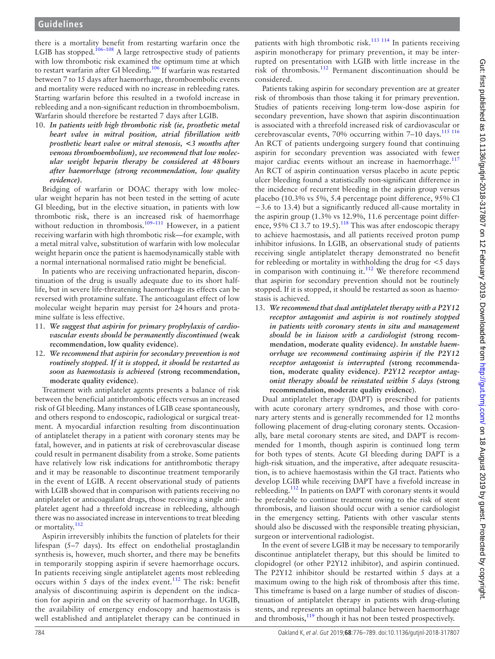there is a mortality benefit from restarting warfarin once the LGIB has stopped.<sup>[106–108](#page-13-5)</sup> A large retrospective study of patients with low thrombotic risk examined the optimum time at which to restart warfarin after GI bleeding.<sup>106</sup> If warfarin was restarted between 7 to 15 days after haemorrhage, thromboembolic events and mortality were reduced with no increase in rebleeding rates. Starting warfarin before this resulted in a twofold increase in rebleeding and a non-significant reduction in thromboembolism. Warfarin should therefore be restarted 7 days after LGIB.

10. *In patients with high thrombotic risk (ie, prosthetic metal heart valve in mitral position, atrial fibrillation with prosthetic heart valve or mitral stenosis, <3 months after venous thromboembolism), we recommend that low molecular weight heparin therapy be considered at 48hours after haemorrhage (strong recommendation, low quality evidence).*

Bridging of warfarin or DOAC therapy with low molecular weight heparin has not been tested in the setting of acute GI bleeding, but in the elective situation, in patients with low thrombotic risk, there is an increased risk of haemorrhage without reduction in thrombosis.<sup>109-111</sup> However, in a patient receiving warfarin with high thrombotic risk—for example, with a metal mitral valve, substitution of warfarin with low molecular weight heparin once the patient is haemodynamically stable with a normal international normalised ratio might be beneficial.

In patients who are receiving unfractionated heparin, discontinuation of the drug is usually adequate due to its short halflife, but in severe life-threatening haemorrhage its effects can be reversed with protamine sulfate. The anticoagulant effect of low molecular weight heparin may persist for 24hours and protamine sulfate is less effective.

- 11. *We suggest that aspirin for primary prophylaxis of cardiovascular events should be permanently discontinued (***weak recommendation, low quality evidence**).
- 12. *We recommend that aspirin for secondary prevention is not routinely stopped. If it is stopped, it should be restarted as soon as haemostasis is achieved (***strong recommendation, moderate quality evidence**).

Treatment with antiplatelet agents presents a balance of risk between the beneficial antithrombotic effects versus an increased risk of GI bleeding. Many instances of LGIB cease spontaneously, and others respond to endoscopic, radiological or surgical treatment. A myocardial infarction resulting from discontinuation of antiplatelet therapy in a patient with coronary stents may be fatal, however, and in patients at risk of cerebrovascular disease could result in permanent disability from a stroke. Some patients have relatively low risk indications for antithrombotic therapy and it may be reasonable to discontinue treatment temporarily in the event of LGIB. A recent observational study of patients with LGIB showed that in comparison with patients receiving no antiplatelet or anticoagulant drugs, those receiving a single antiplatelet agent had a threefold increase in rebleeding, although there was no associated increase in interventions to treat bleeding or mortality.<sup>[112](#page-13-7)</sup>

Aspirin irreversibly inhibits the function of platelets for their lifespan (5–7 days). Its effect on endothelial prostaglandin synthesis is, however, much shorter, and there may be benefits in temporarily stopping aspirin if severe haemorrhage occurs. In patients receiving single antiplatelet agents most rebleeding occurs within 5 days of the index event.[112](#page-13-7) The risk: benefit analysis of discontinuing aspirin is dependent on the indication for aspirin and on the severity of haemorrhage. In UGIB, the availability of emergency endoscopy and haemostasis is well established and antiplatelet therapy can be continued in

patients with high thrombotic risk.<sup>[113 114](#page-13-8)</sup> In patients receiving aspirin monotherapy for primary prevention, it may be interrupted on presentation with LGIB with little increase in the risk of thrombosis.[112](#page-13-7) Permanent discontinuation should be considered.

Patients taking aspirin for secondary prevention are at greater risk of thrombosis than those taking it for primary prevention. Studies of patients receiving long-term low-dose aspirin for secondary prevention, have shown that aspirin discontinuation is associated with a threefold increased risk of cardiovascular or cerebrovascular events, 70% occurring within 7-10 days. $115$   $116$ An RCT of patients undergoing surgery found that continuing aspirin for secondary prevention was associated with fewer major cardiac events without an increase in haemorrhage.<sup>117</sup> An RCT of aspirin continuation versus placebo in acute peptic ulcer bleeding found a statistically non-significant difference in the incidence of recurrent bleeding in the aspirin group versus placebo (10.3% vs 5%, 5.4 percentage point difference, 95% CI −3.6 to 13.4) but a significantly reduced all-cause mortality in the aspirin group (1.3% vs 12.9%, 11.6 percentage point difference,  $95\%$  CI 3.7 to 19.5).<sup>[118](#page-13-11)</sup> This was after endoscopic therapy to achieve haemostasis, and all patients received proton pump inhibitor infusions. In LGIB, an observational study of patients receiving single antiplatelet therapy demonstrated no benefit for rebleeding or mortality in withholding the drug for <5 days in comparison with continuing it.<sup>112</sup> We therefore recommend that aspirin for secondary prevention should not be routinely stopped. If it is stopped, it should be restarted as soon as haemostasis is achieved.

13. *We recommend that dual antiplatelet therapy with a P2Y12 receptor antagonist and aspirin is not routinely stopped in patients with coronary stents in situ and management should be in liaison with a cardiologist (***strong recommendation, moderate quality evidence***). In unstable haemorrhage we recommend continuing aspirin if the P2Y12 receptor antagonist is interrupted (***strong recommendation, moderate quality evidence***). P2Y12 receptor antagonist therapy should be reinstated within 5 days (***strong recommendation, moderate quality evidence**).

Dual antiplatelet therapy (DAPT) is prescribed for patients with acute coronary artery syndromes, and those with coronary artery stents and is generally recommended for 12 months following placement of drug-eluting coronary stents. Occasionally, bare metal coronary stents are sited, and DAPT is recommended for 1month, though aspirin is continued long term for both types of stents. Acute GI bleeding during DAPT is a high-risk situation, and the imperative, after adequate resuscitation, is to achieve haemostasis within the GI tract. Patients who develop LGIB while receiving DAPT have a fivefold increase in rebleeding.<sup>112</sup> In patients on DAPT with coronary stents it would be preferable to continue treatment owing to the risk of stent thrombosis, and liaison should occur with a senior cardiologist in the emergency setting. Patients with other vascular stents should also be discussed with the responsible treating physician, surgeon or interventional radiologist.

In the event of severe LGIB it may be necessary to temporarily discontinue antiplatelet therapy, but this should be limited to clopidogrel (or other P2Y12 inhibitor), and aspirin continued. The P2Y12 inhibitor should be restarted within 5 days at a maximum owing to the high risk of thrombosis after this time. This timeframe is based on a large number of studies of discontinuation of antiplatelet therapy in patients with drug-eluting stents, and represents an optimal balance between haemorrhage and thrombosis,<sup>119</sup> though it has not been tested prospectively.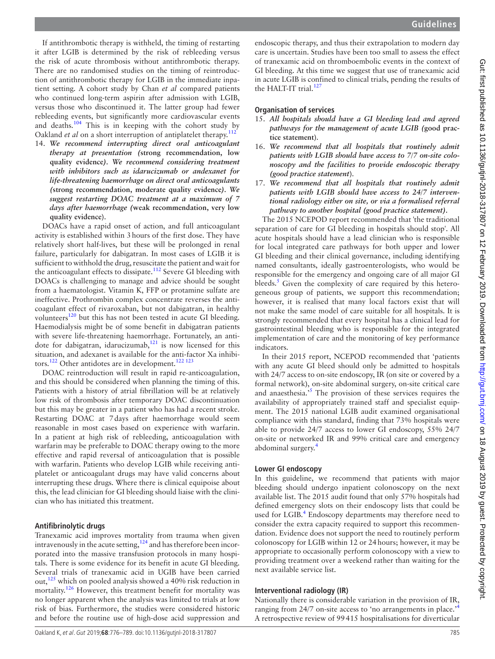If antithrombotic therapy is withheld, the timing of restarting it after LGIB is determined by the risk of rebleeding versus the risk of acute thrombosis without antithrombotic therapy. There are no randomised studies on the timing of reintroduction of antithrombotic therapy for LGIB in the immediate inpatient setting. A cohort study by Chan *et al* compared patients who continued long-term aspirin after admission with LGIB, versus those who discontinued it. The latter group had fewer rebleeding events, but significantly more cardiovascular events and deaths.<sup>[104](#page-13-3)</sup> This is in keeping with the cohort study by Oakland *et al* on a short interruption of antiplatelet therapy.<sup>[112](#page-13-7)</sup>

14. *We recommend interrupting direct oral anticoagulant therapy at presentation (***strong recommendation, low quality evidence***). We recommend considering treatment with inhibitors such as idarucizumab or andexanet for life-threatening haemorrhage on direct oral anticoagulants (***strong recommendation, moderate quality evidence***). We suggest restarting DOAC treatment at a maximum of 7 days after haemorrhage (***weak recommendation, very low quality evidence**).

DOACs have a rapid onset of action, and full anticoagulant activity is established within 3hours of the first dose. They have relatively short half-lives, but these will be prolonged in renal failure, particularly for dabigatran. In most cases of LGIB it is sufficient to withhold the drug, resuscitate the patient and wait for the anticoagulant effects to dissipate.<sup>112</sup> Severe GI bleeding with DOACs is challenging to manage and advice should be sought from a haematologist. Vitamin K, FFP or protamine sulfate are ineffective. Prothrombin complex concentrate reverses the anticoagulant effect of rivaroxaban, but not dabigatran, in healthy volunteers<sup>120</sup> but this has not been tested in acute GI bleeding. Haemodialysis might be of some benefit in dabigatran patients with severe life-threatening haemorrhage. Fortunately, an antidote for dabigatran, idarucizumab, $121$  is now licensed for this situation, and adexanet is available for the anti-factor Xa inhibi-tors.<sup>[122](#page-13-15)</sup> Other antidotes are in development.<sup>[122 123](#page-13-15)</sup>

DOAC reintroduction will result in rapid re-anticoagulation, and this should be considered when planning the timing of this. Patients with a history of atrial fibrillation will be at relatively low risk of thrombosis after temporary DOAC discontinuation but this may be greater in a patient who has had a recent stroke. Restarting DOAC at 7days after haemorrhage would seem reasonable in most cases based on experience with warfarin. In a patient at high risk of rebleeding, anticoagulation with warfarin may be preferable to DOAC therapy owing to the more effective and rapid reversal of anticoagulation that is possible with warfarin. Patients who develop LGIB while receiving antiplatelet or anticoagulant drugs may have valid concerns about interrupting these drugs. Where there is clinical equipoise about this, the lead clinician for GI bleeding should liaise with the clinician who has initiated this treatment.

#### **Antifibrinolytic drugs**

Tranexamic acid improves mortality from trauma when given intravenously in the acute setting, $124$  and has therefore been incorporated into the massive transfusion protocols in many hospitals. There is some evidence for its benefit in acute GI bleeding. Several trials of tranexamic acid in UGIB have been carried out,<sup>[125](#page-13-17)</sup> which on pooled analysis showed a 40% risk reduction in mortality.<sup>126</sup> However, this treatment benefit for mortality was no longer apparent when the analysis was limited to trials at low risk of bias. Furthermore, the studies were considered historic and before the routine use of high-dose acid suppression and

endoscopic therapy, and thus their extrapolation to modern day care is uncertain. Studies have been too small to assess the effect of tranexamic acid on thromboembolic events in the context of GI bleeding. At this time we suggest that use of tranexamic acid in acute LGIB is confined to clinical trials, pending the results of the HALT-IT trial.<sup>127</sup>

#### **Organisation of services**

- 15. *All hospitals should have a GI bleeding lead and agreed pathways for the management of acute LGIB (***good practice statement**).
- 16. *We recommend that all hospitals that routinely admit patients with LGIB should have access to 7/7 on-site colonoscopy and the facilities to provide endoscopic therapy (good practice statement*).
- 17. *We recommend that all hospitals that routinely admit patients with LGIB should have access to 24/7 interventional radiology either on site, or via a formalised referral pathway to another hospital (good practice statement).*

The 2015 NCEPOD report recommended that 'the traditional separation of care for GI bleeding in hospitals should stop'. All acute hospitals should have a lead clinician who is responsible for local integrated care pathways for both upper and lower GI bleeding and their clinical governance, including identifying named consultants, ideally gastroenterologists, who would be responsible for the emergency and ongoing care of all major GI bleeds.<sup>5</sup> Given the complexity of care required by this heterogeneous group of patients, we support this recommendation; however, it is realised that many local factors exist that will not make the same model of care suitable for all hospitals. It is strongly recommended that every hospital has a clinical lead for gastrointestinal bleeding who is responsible for the integrated implementation of care and the monitoring of key performance indicators.

In their 2015 report, NCEPOD recommended that 'patients with any acute GI bleed should only be admitted to hospitals with 24/7 access to on-site endoscopy, IR (on site or covered by a formal network), on-site abdominal surgery, on-site critical care and anaesthesia.<sup>[5](#page-11-3)</sup> The provision of these services requires the availability of appropriately trained staff and specialist equipment. The 2015 national LGIB audit examined organisational compliance with this standard, finding that 73% hospitals were able to provide 24/7 access to lower GI endoscopy, 55% 24/7 on-site or networked IR and 99% critical care and emergency abdominal surgery.[4](#page-11-2)

# **Lower GI endoscopy**

In this guideline, we recommend that patients with major bleeding should undergo inpatient colonoscopy on the next available list. The 2015 audit found that only 57% hospitals had defined emergency slots on their endoscopy lists that could be used for LGIB.<sup>[4](#page-11-2)</sup> Endoscopy departments may therefore need to consider the extra capacity required to support this recommendation. Evidence does not support the need to routinely perform colonoscopy for LGIB within 12 or 24hours; however, it may be appropriate to occasionally perform colonoscopy with a view to providing treatment over a weekend rather than waiting for the next available service list.

# **Interventional radiology (IR)**

Nationally there is considerable variation in the provision of IR, ranging from 2[4](#page-11-2)/7 on-site access to 'no arrangements in place.<sup>4</sup> A retrospective review of 99415 hospitalisations for diverticular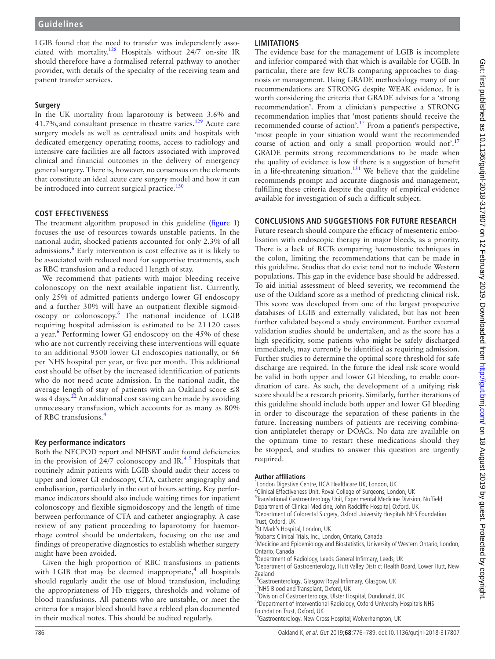LGIB found that the need to transfer was independently associated with mortality.[128](#page-13-20) Hospitals without 24/7 on-site IR should therefore have a formalised referral pathway to another provider, with details of the specialty of the receiving team and patient transfer services.

# **Surgery**

In the UK mortality from laparotomy is between 3.6% and 41.7%, and consultant presence in theatre varies.<sup>129</sup> Acute care surgery models as well as centralised units and hospitals with dedicated emergency operating rooms, access to radiology and intensive care facilities are all factors associated with improved clinical and financial outcomes in the delivery of emergency general surgery. There is, however, no consensus on the elements that constitute an ideal acute care surgery model and how it can be introduced into current surgical practice.<sup>130</sup>

# **Cost effectiveness**

The treatment algorithm proposed in this guideline [\(figure](#page-2-0) 1) focuses the use of resources towards unstable patients. In the national audit, shocked patients accounted for only 2.3% of all admissions.<sup>[6](#page-11-4)</sup> Early intervention is cost effective as it is likely to be associated with reduced need for supportive treatments, such as RBC transfusion and a reduced l length of stay.

We recommend that patients with major bleeding receive colonoscopy on the next available inpatient list. Currently, only 25% of admitted patients undergo lower GI endoscopy and a further 30% will have an outpatient flexible sigmoidoscopy or colonoscopy.[6](#page-11-4) The national incidence of LGIB requiring hospital admission is estimated to be 21 120 cases a year.<sup>[6](#page-11-4)</sup> Performing lower GI endoscopy on the 45% of these who are not currently receiving these interventions will equate to an additional 9500 lower GI endoscopies nationally, or 66 per NHS hospital per year, or five per month. This additional cost should be offset by the increased identification of patients who do not need acute admission. In the national audit, the average length of stay of patients with an Oakland score  $\leq 8$ was 4 days.<sup>[22](#page-11-19)</sup> An additional cost saving can be made by avoiding unnecessary transfusion, which accounts for as many as 80% of RBC transfusions.[4](#page-11-2)

# **Key performance indicators**

Both the NECPOD report and NHSBT audit found deficiencies in the provision of 24/7 colonoscopy and IR.<sup>45</sup> Hospitals that routinely admit patients with LGIB should audit their access to upper and lower GI endoscopy, CTA, catheter angiography and embolisation, particularly in the out of hours setting. Key performance indicators should also include waiting times for inpatient colonoscopy and flexible sigmoidoscopy and the length of time between performance of CTA and catheter angiography. A case review of any patient proceeding to laparotomy for haemorrhage control should be undertaken, focusing on the use and findings of preoperative diagnostics to establish whether surgery might have been avoided.

Given the high proportion of RBC transfusions in patients with LGIB that may be deemed inappropriate, $4$  all hospitals should regularly audit the use of blood transfusion, including the appropriateness of Hb triggers, thresholds and volume of blood transfusions. All patients who are unstable, or meet the criteria for a major bleed should have a rebleed plan documented in their medical notes. This should be audited regularly.

# **Limitations**

The evidence base for the management of LGIB is incomplete and inferior compared with that which is available for UGIB. In particular, there are few RCTs comparing approaches to diagnosis or management. Using GRADE methodology many of our recommendations are STRONG despite WEAK evidence. It is worth considering the criteria that GRADE advises for a 'strong recommendation'. From a clinician's perspective a STRONG recommendation implies that 'most patients should receive the recommended course of action'[.17](#page-11-14) From a patient's perspective, 'most people in your situation would want the recommended course of action and only a small proportion would not'.<sup>[17](#page-11-14)</sup> GRADE permits strong recommendations to be made when the quality of evidence is low if there is a suggestion of benefit in a life-threatening situation.<sup>[131](#page-13-23)</sup> We believe that the guideline recommends prompt and accurate diagnosis and management, fulfilling these criteria despite the quality of empirical evidence available for investigation of such a difficult subject.

# **Conclusions and suggestions for future research**

Future research should compare the efficacy of mesenteric embolisation with endoscopic therapy in major bleeds, as a priority. There is a lack of RCTs comparing haemostatic techniques in the colon, limiting the recommendations that can be made in this guideline. Studies that do exist tend not to include Western populations. This gap in the evidence base should be addressed. To aid initial assessment of bleed severity, we recommend the use of the Oakland score as a method of predicting clinical risk. This score was developed from one of the largest prospective databases of LGIB and externally validated, but has not been further validated beyond a study environment. Further external validation studies should be undertaken, and as the score has a high specificity, some patients who might be safely discharged immediately, may currently be identified as requiring admission. Further studies to determine the optimal score threshold for safe discharge are required. In the future the ideal risk score would be valid in both upper and lower GI bleeding, to enable coordination of care. As such, the development of a unifying risk score should be a research priority. Similarly, further iterations of this guideline should include both upper and lower GI bleeding in order to discourage the separation of these patients in the future. Increasing numbers of patients are receiving combination antiplatelet therapy or DOACs. No data are available on the optimum time to restart these medications should they be stopped, and studies to answer this question are urgently required.

#### **Author affiliations**

- <sup>1</sup> London Digestive Centre, HCA Healthcare UK, London, UK
- <sup>2</sup>Clinical Effectiveness Unit, Royal College of Surgeons, London, UK
- <sup>3</sup> Translational Gastroenterology Unit, Experimental Medicine Division, Nuffield
- Department of Clinical Medicine, John Radcliffe Hospital, Oxford, UK
- 4 Department of Colorectal Surgery, Oxford University Hospitals NHS Foundation Trust, Oxford, UK
- 5 St Mark's Hospital, London, UK
- 6 Robarts Clinical Trials, Inc., London, Ontario, Canada
- <sup>7</sup> Medicine and Epidemiology and Biostatistics, University of Western Ontario, London,
- Ontario, Canada
- <sup>8</sup>Department of Radiology, Leeds General Infirmary, Leeds, UK
- <sup>9</sup>Department of Gastroenterology, Hutt Valley District Health Board, Lower Hutt, New Zealand
- <sup>0</sup>Gastroenterology, Glasgow Royal Infirmary, Glasgow, UK
- <sup>11</sup>NHS Blood and Transplant, Oxford, UK
- <sup>12</sup>Division of Gastroenterology, Ulster Hospital, Dundonald, UK <sup>13</sup>Department of Interventional Radiology, Oxford University Hospitals NHS
- Foundation Trust, Oxford, UK
- 14Gastroenterology, New Cross Hospital, Wolverhampton, UK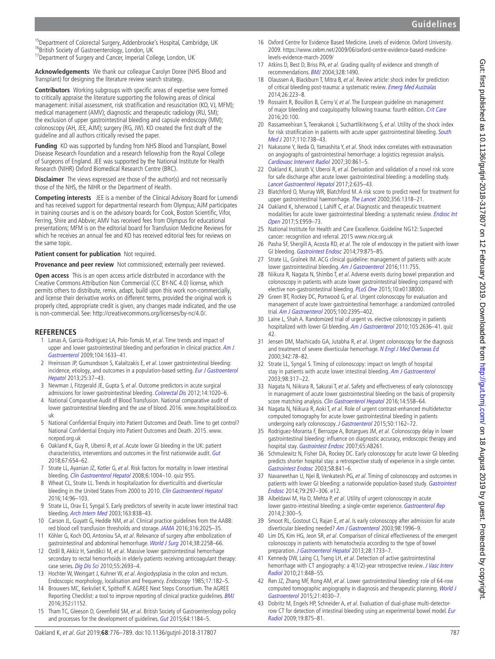<sup>15</sup>Department of Colorectal Surgery, Addenbrooke's Hospital, Cambridge, UK <sup>16</sup>British Society of Gastroenterology, London, UK <sup>17</sup>Department of Surgery and Cancer, Imperial College, London, UK

**Acknowledgements** We thank our colleague Carolyn Doree (NHS Blood and Transplant) for designing the literature review search strategy.

**Contributors** Working subgroups with specific areas of expertise were formed to critically appraise the literature supporting the following areas of clinical management: initial assessment, risk stratification and resuscitation (KO, VJ, MFM); medical management (AMV); diagnostic and therapeutic radiology (RU, SM); the exclusion of upper gastrointestinal bleeding and capsule endoscopy (MM); colonoscopy (AH, JEE, AJM); surgery (RG, JW). KO created the first draft of the guideline and all authors critically revised the paper.

**Funding** KO was supported by funding from NHS Blood and Transplant, Bowel Disease Research Foundation and a research fellowship from the Royal College of Surgeons of England. JEE was supported by the National Institute for Health Research (NIHR) Oxford Biomedical Research Centre (BRC).

**Disclaimer** The views expressed are those of the author(s) and not necessarily those of the NHS, the NIHR or the Department of Health.

**Competing interests** JEE is a member of the Clinical Advisory Board for Lumendi and has received support for departmental research from Olympus; AJM participates in training courses and is on the advisory boards for Cook, Boston Scientific, Vifor, Ferring, Shire and Abbvie; AMV has received fees from Olympus for educational presentations; MFM is on the editorial board for Transfusion Medicine Reviews for which he receives an annual fee and KO has received editorial fees for reviews on the same topic.

**Patient consent for publication** Not required.

**Provenance and peer review** Not commissioned; externally peer reviewed.

**Open access** This is an open access article distributed in accordance with the Creative Commons Attribution Non Commercial (CC BY-NC 4.0) license, which permits others to distribute, remix, adapt, build upon this work non-commercially, and license their derivative works on different terms, provided the original work is properly cited, appropriate credit is given, any changes made indicated, and the use is non-commercial. See: <http://creativecommons.org/licenses/by-nc/4.0/>.

#### **References**

- <span id="page-11-0"></span>1 Lanas A, García-Rodríguez LA, Polo-Tomás M, et al. Time trends and impact of upper and lower gastrointestinal bleeding and perforation in clinical practice. Am J [Gastroenterol](http://dx.doi.org/10.1038/ajg.2009.164) 2009;104:1633–41.
- <span id="page-11-10"></span>2 Hreinsson JP, Gumundsson S, Kalaitzakis E, et al. Lower gastrointestinal bleeding: incidence, etiology, and outcomes in a population-based setting. Eur J Gastroenterol [Hepatol](http://dx.doi.org/10.1097/MEG.0b013e32835948e3) 2013;25:37–43.
- <span id="page-11-1"></span>3 Newman J, Fitzgerald JE, Gupta S, et al. Outcome predictors in acute surgical admissions for lower gastrointestinal bleeding. [Colorectal Dis](http://dx.doi.org/10.1111/j.1463-1318.2011.02824.x) 2012;14:1020–6.
- <span id="page-11-2"></span>4 National Comparative Audit of Blood Transfusion. National comparative audit of lower gastrointestinal bleeding and the use of blood. 2016. [www.hospital.blood.co.](www.hospital.blood.co.uk) [uk](www.hospital.blood.co.uk)
- <span id="page-11-3"></span>5 National Confidential Enquiry into Patient Outcomes and Death. Time to get control? National Confidential Enquiry into Patient Outcomes and Death. 2015. [www.](www.ncepod.org.uk) [ncepod.org.uk](www.ncepod.org.uk)
- <span id="page-11-4"></span>6 Oakland K, Guy R, Uberoi R, et al. Acute lower GI bleeding in the UK: patient characteristics, interventions and outcomes in the first nationwide audit. [Gut](http://dx.doi.org/10.1136/gutjnl-2016-313428) 2018;67:654–62.
- 7 Strate LL, Ayanian JZ, Kotler G, et al. Risk factors for mortality in lower intestinal bleeding. [Clin Gastroenterol Hepatol](http://dx.doi.org/10.1016/j.cgh.2008.03.021) 2008;6:1004-10. quiz 955
- <span id="page-11-5"></span>8 Wheat CL, Strate LL. Trends in hospitalization for diverticulitis and diverticular bleeding in the United States From 2000 to 2010. [Clin Gastroenterol Hepatol](http://dx.doi.org/10.1016/j.cgh.2015.03.030) 2016;14:96–103.
- <span id="page-11-6"></span>Strate LL, Orav EJ, Syngal S. Early predictors of severity in acute lower intestinal tract bleeding. [Arch Intern Med](http://dx.doi.org/10.1001/archinte.163.7.838) 2003;163:838–43.
- <span id="page-11-7"></span>10 Carson JL, Guyatt G, Heddle NM, et al. Clinical practice guidelines from the AABB: red blood cell transfusion thresholds and storage. [JAMA](http://dx.doi.org/10.1001/jama.2016.9185) 2016;316:2025-35.
- <span id="page-11-36"></span>11 Köhler G, Koch OO, Antoniou SA, et al. Relevance of surgery after embolization of gastrointestinal and abdominal hemorrhage. [World J Surg](http://dx.doi.org/10.1007/s00268-014-2570-7) 2014;38:2258-66.
- <span id="page-11-8"></span>12 Ozdil B, Akkiz H, Sandikci M, et al. Massive lower gastrointestinal hemorrhage secondary to rectal hemorrhoids in elderly patients receiving anticoagulant therapy: case series. [Dig Dis Sci](http://dx.doi.org/10.1007/s10620-009-1043-6) 2010;55:2693-4.
- <span id="page-11-9"></span>13 Hochter W, Weingart J, Kuhner W, et al. Angiodysplasia in the colon and rectum. Endoscopic morphology, localisation and frequency. Endoscopy 1985;17:182–5.
- <span id="page-11-11"></span>14 Brouwers MC, Kerkvliet K, Spithoff K. AGREE Next Steps Consortium. The AGREE Reporting Checklist: a tool to improve reporting of clinical practice guidelines. **[BMJ](http://dx.doi.org/10.1136/bmj.i1152)** 2016;352:i1152.
- <span id="page-11-12"></span>15 Tham TC, Gleeson D, Greenfield SM, et al. British Society of Gastroenterology policy and processes for the development of guidelines. [Gut](http://dx.doi.org/10.1136/gutjnl-2015-309164) 2015;64:1184-5.
- <span id="page-11-13"></span>16 Oxford Centre for Evidence Based Medicine. Levels of evidence. Oxford University. 2009. [https://www.cebm.net/2009/06/oxford-centre-evidence-based-medicine](https://www.cebm.net/2009/06/oxford-centre-evidence-based-medicine-levels-evidence-march-2009/)[levels-evidence-march-2009/](https://www.cebm.net/2009/06/oxford-centre-evidence-based-medicine-levels-evidence-march-2009/)
- <span id="page-11-14"></span>17 Atkins D, Best D, Briss PA, et al. Grading quality of evidence and strength of recommendations. [BMJ](http://dx.doi.org/10.1136/bmj.328.7454.1490) 2004;328:1490.
- <span id="page-11-15"></span>18 Olaussen A, Blackburn T, Mitra B, et al. Review article: shock index for prediction of critical bleeding post-trauma: a systematic review. [Emerg Med Australas](http://dx.doi.org/10.1111/1742-6723.12232) 2014;26:223–8.
- <span id="page-11-16"></span>19 Rossaint R, Bouillon B, Cerny V, et al. The European guideline on management of major bleeding and coagulopathy following trauma: fourth edition. [Crit Care](http://dx.doi.org/10.1186/s13054-016-1265-x) 2016;20:100.
- <span id="page-11-17"></span>20 Rassameehiran S, Teerakanok J, Suchartlikitwong S, et al. Utility of the shock index for risk stratification in patients with acute upper gastrointestinal bleeding. South [Med J](http://dx.doi.org/10.14423/SMJ.0000000000000729) 2017;110:738–43.
- <span id="page-11-18"></span>21 Nakasone Y, Ikeda O, Yamashita Y, et al. Shock index correlates with extravasation on angiographs of gastrointestinal hemorrhage: a logistics regression analysis. [Cardiovasc Intervent Radiol](http://dx.doi.org/10.1007/s00270-007-9131-5) 2007;30:861–5.
- <span id="page-11-19"></span>22 Oakland K, Jairath V, Uberoi R, et al. Derivation and validation of a novel risk score for safe discharge after acute lower gastrointestinal bleeding: a modelling study. [Lancet Gastroenterol Hepatol](http://dx.doi.org/10.1016/S2468-1253(17)30150-4) 2017;2:635–43.
- <span id="page-11-20"></span>23 Blatchford O, Murray WR, Blatchford M. A risk score to predict need for treatment for upper gastrointestinal haemorrhage. [The Lancet](http://dx.doi.org/10.1016/S0140-6736(00)02816-6) 2000;356:1318-21.
- <span id="page-11-21"></span>24 Oakland K, Isherwood J, Lahiff C, et al. Diagnostic and therapeutic treatment modalities for acute lower gastrointestinal bleeding: a systematic review. [Endosc Int](http://dx.doi.org/10.1055/s-0043-117958)  [Open](http://dx.doi.org/10.1055/s-0043-117958) 2017;5:E959–73.
- <span id="page-11-22"></span>25 National Institute for Health and Care Excellence. Guideline NG12: Suspected cancer: recognition and referral. 2015 <www.nice.org.uk>
- <span id="page-11-23"></span>26 Pasha SF, Shergill A, Acosta RD, et al. The role of endoscopy in the patient with lower GI bleeding. [Gastrointest Endosc](http://dx.doi.org/10.1016/j.gie.2013.10.039) 2014;79:875–85.
- 27 Strate LL, Gralnek IM. ACG clinical guideline: management of patients with acute lower gastrointestinal bleeding. [Am J Gastroenterol](http://dx.doi.org/10.1038/ajg.2016.155) 2016;111:755
- <span id="page-11-24"></span>28 Niikura R, Nagata N, Shimbo T, et al. Adverse events during bowel preparation and colonoscopy in patients with acute lower gastrointestinal bleeding compared with elective non-gastrointestinal bleeding. [PLoS One](http://dx.doi.org/10.1371/journal.pone.0138000) 2015;10:e0138000.
- <span id="page-11-25"></span>29 Green BT, Rockey DC, Portwood G, et al. Urgent colonoscopy for evaluation and management of acute lower gastrointestinal hemorrhage: a randomized controlled trial. [Am J Gastroenterol](http://dx.doi.org/10.1111/j.1572-0241.2005.00306.x) 2005;100:2395-402.
- <span id="page-11-27"></span>30 Laine L, Shah A. Randomized trial of urgent vs. elective colonoscopy in patients hospitalized with lower GI bleeding. [Am J Gastroenterol](http://dx.doi.org/10.1038/ajg.2010.277) 2010;105:2636-41. quiz 42.
- <span id="page-11-35"></span>31 Jensen DM, Machicado GA, Jutabha R, et al. Urgent colonoscopy for the diagnosis and treatment of severe diverticular hemorrhage. [N Engl J Med Overseas Ed](http://dx.doi.org/10.1056/NEJM200001133420202) 2000;342:78–82.
- 32 Strate LL, Syngal S. Timing of colonoscopy: impact on length of hospital stay in patients with acute lower intestinal bleeding. [Am J Gastroenterol](http://dx.doi.org/10.1111/j.1572-0241.2003.07232.x) 2003;98:317–22.
- <span id="page-11-29"></span>33 Nagata N, Niikura R, Sakurai T, et al. Safety and effectiveness of early colonoscopy in management of acute lower gastrointestinal bleeding on the basis of propensity score matching analysis. [Clin Gastroenterol Hepatol](http://dx.doi.org/10.1016/j.cgh.2015.10.011) 2016;14:558-64.
- <span id="page-11-26"></span>34 Nagata N, Niikura R, Aoki T, et al. Role of urgent contrast-enhanced multidetector computed tomography for acute lower gastrointestinal bleeding in patients undergoing early colonoscopy. [J Gastroenterol](http://dx.doi.org/10.1007/s00535-015-1069-9) 2015;50:1162-72.
- <span id="page-11-28"></span>35 Rodriguez-Moranta F, Berrozpe A, Botargues JM, et al. Colonoscopy delay in lower gastrointestinal bleeding: influence on diagnostic accuracy, endoscopic therapy and hospital stay. [Gastrointest Endosc](http://dx.doi.org/10.1016/j.gie.2007.03.614) 2007;65:AB261.
- 36 Schmulewitz N, Fisher DA, Rockey DC. Early colonoscopy for acute lower GI bleeding predicts shorter hospital stay: a retrospective study of experience in a single center. [Gastrointest Endosc](http://dx.doi.org/10.1016/S0016-5107(03)02304-6) 2003;58:841–6.
- <span id="page-11-31"></span>37 Navaneethan U, Njei B, Venkatesh PG, et al. Timing of colonoscopy and outcomes in patients with lower GI bleeding: a nationwide population-based study. Gastrointest [Endosc](http://dx.doi.org/10.1016/j.gie.2013.08.001) 2014;79:297–306. e12.
- <span id="page-11-30"></span>38 Albeldawi M, Ha D, Mehta P, et al. Utility of urgent colonoscopy in acute lower gastro-intestinal bleeding: a single-center experience. [Gastroenterol Rep](http://dx.doi.org/10.1093/gastro/gou030) 2014;2:300–5.
- 39 Smoot RL, Gostout CJ, Rajan E, et al. Is early colonoscopy after admission for acute diverticular bleeding needed? [Am J Gastroenterol](http://dx.doi.org/10.1111/j.1572-0241.2003.07635.x) 2003;98:1996-9.
- <span id="page-11-32"></span>40 Lim DS, Kim HG, Jeon SR, et al. Comparison of clinical effectiveness of the emergent colonoscopy in patients with hematochezia according to the type of bowel preparation. [J Gastroenterol Hepatol](http://dx.doi.org/10.1111/jgh.12264) 2013;28:1733-7.
- <span id="page-11-33"></span>41 Kennedy DW, Laing CJ, Tseng LH, et al. Detection of active gastrointestinal hemorrhage with CT angiography: a 4(1/2)-year retrospective review. J Vasc Interv [Radiol](http://dx.doi.org/10.1016/j.jvir.2010.01.039) 2010;21:848–55.
- 42 Ren JZ, Zhang MF, Rong AM, et al. Lower gastrointestinal bleeding: role of 64-row computed tomographic angiography in diagnosis and therapeutic planning. World J [Gastroenterol](http://dx.doi.org/10.3748/wjg.v21.i13.4030) 2015;21:4030–7.
- <span id="page-11-34"></span>43 Dobritz M, Engels HP, Schneider A, et al. Evaluation of dual-phase multi-detectorrow CT for detection of intestinal bleeding using an experimental bowel model. Eur [Radiol](http://dx.doi.org/10.1007/s00330-008-1205-5) 2009;19:875–81.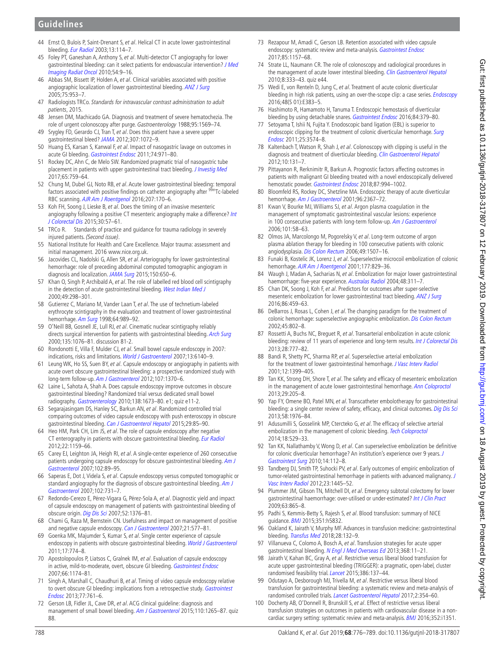# **Guidelines**

- 44 Ernst O, Bulois P, Saint-Drenant S, et al. Helical CT in acute lower gastrointestinal bleeding. [Eur Radiol](http://dx.doi.org/10.1007/s00330-002-1442-y) 2003;13:114–7.
- <span id="page-12-0"></span>45 Foley PT, Ganeshan A, Anthony S, et al. Multi-detector CT angiography for lower gastrointestinal bleeding: can it select patients for endovascular intervention? J Med [Imaging Radiat Oncol](http://dx.doi.org/10.1111/j.1754-9485.2010.02131.x) 2010;54:9–16.
- 46 Abbas SM, Bissett IP, Holden A, et al. Clinical variables associated with positive angiographic localization of lower gastrointestinal bleeding. [ANZ J Surg](http://dx.doi.org/10.1111/j.1445-2197.2005.03582.x) 2005;75:953–7.
- <span id="page-12-1"></span>47 Radiologists TRCo. Standards for intravascular contrast administration to adult patients, 2015.
- 48 Jensen DM, Machicado GA. Diagnosis and treatment of severe hematochezia. The role of urgent colonoscopy after purge. Gastroenterology 1988;95:1569–74.
- 49 Srygley FD, Gerardo CJ, Tran T, et al. Does this patient have a severe upper gastrointestinal bleed? [JAMA](http://dx.doi.org/10.1001/jama.2012.253) 2012;307:1072–9.
- <span id="page-12-2"></span>50 Huang ES, Karsan S, Kanwal F, et al. Impact of nasogastric lavage on outcomes in acute GI bleeding. [Gastrointest Endosc](http://dx.doi.org/10.1016/j.gie.2011.04.045) 2011;74:971-80.
- 51 Rockey DC, Ahn C, de Melo SW. Randomized pragmatic trial of nasogastric tube placement in patients with upper gastrointestinal tract bleeding. *[J Investig Med](http://dx.doi.org/10.1136/jim-2016-000375)* 2017;65:759–64.
- <span id="page-12-3"></span>52 Chung M, Dubel GJ, Noto RB, et al. Acute lower gastrointestinal bleeding: temporal factors associated with positive findings on catheter angiography after 99mTc-labeled RBC scanning. [AJR Am J Roentgenol](http://dx.doi.org/10.2214/AJR.15.15380) 2016;207:170–6.
- <span id="page-12-4"></span>53 Koh FH, Soong J, Lieske B, et al. Does the timing of an invasive mesenteric angiography following a positive CT mesenteric angiography make a difference? Int [J Colorectal Dis](http://dx.doi.org/10.1007/s00384-014-2055-z) 2015;30:57–61.
- <span id="page-12-5"></span>54 TRCo R. Standards of practice and guidance for trauma radiology in severely injured patients. (Second issue)
- <span id="page-12-6"></span>55 National Institute for Health and Care Excellence. Major trauma: assessment and initial management. 2016 [www.nice.org.uk.](www.nice.org.uk)
- <span id="page-12-7"></span>56 Jacovides CL, Nadolski G, Allen SR, et al. Arteriography for lower gastrointestinal hemorrhage: role of preceding abdominal computed tomographic angiogram in diagnosis and localization. [JAMA Surg](http://dx.doi.org/10.1001/jamasurg.2015.97) 2015;150:650-6.
- <span id="page-12-8"></span>57 Khan Q, Singh P, Archibald A, et al. The role of labelled red blood cell scintigraphy in the detection of acute gastrointestinal bleeding. [West Indian Med J](http://www.ncbi.nlm.nih.gov/pubmed/11211539) 2000;49:298–301.
- 58 Gutierrez C, Mariano M, Vander Laan T, et al. The use of technetium-labeled erythrocyte scintigraphy in the evaluation and treatment of lower gastrointestinal hemorrhage. [Am Surg](http://www.ncbi.nlm.nih.gov/pubmed/9764709) 1998;64:989–92.
- 59 O'Neill BB, Gosnell JE, Lull RJ, et al. Cinematic nuclear scintigraphy reliably directs surgical intervention for patients with gastrointestinal bleeding. [Arch Surg](http://dx.doi.org/10.1001/archsurg.135.9.1076) 2000;135:1076–81. discussion 81-2.
- <span id="page-12-9"></span>60 Rondonotti E, Villa F, Mulder CJ, et al. Small bowel capsule endoscopy in 2007: indications, risks and limitations. [World J Gastroenterol](http://dx.doi.org/10.3748/wjg.v13.i46.6140) 2007;13:6140-9.
- <span id="page-12-10"></span>61 Leung WK, Ho SS, Suen BY, et al. Capsule endoscopy or angiography in patients with acute overt obscure gastrointestinal bleeding: a prospective randomized study with long-term follow-up. [Am J Gastroenterol](http://dx.doi.org/10.1038/ajg.2012.212) 2012;107:1370-6.
- 62 Laine L, Sahota A, Shah A. Does capsule endoscopy improve outcomes in obscure gastrointestinal bleeding? Randomized trial versus dedicated small bowel radiography. [Gastroenterology](http://dx.doi.org/10.1053/j.gastro.2010.01.047) 2010;138:1673-80. e1; quiz e11-2.
- 63 Segarajasingam DS, Hanley SC, Barkun AN, et al. Randomized controlled trial comparing outcomes of video capsule endoscopy with push enteroscopy in obscure gastrointestinal bleeding. [Can J Gastroenterol Hepatol](http://dx.doi.org/10.1155/2015/897567) 2015;29:85-90.
- <span id="page-12-11"></span>64 Heo HM, Park CH, Lim JS, et al. The role of capsule endoscopy after negative CT enterography in patients with obscure gastrointestinal bleeding. [Eur Radiol](http://dx.doi.org/10.1007/s00330-011-2374-1) 2012;22:1159–66.
- 65 Carey EJ, Leighton JA, Heigh RI, et al. A single-center experience of 260 consecutive patients undergoing capsule endoscopy for obscure gastrointestinal bleeding. Am J [Gastroenterol](http://dx.doi.org/10.1111/j.1572-0241.2006.00941.x) 2007;102:89–95.
- 66 Saperas E, Dot J, Videla S, et al. Capsule endoscopy versus computed tomographic or standard angiography for the diagnosis of obscure gastrointestinal bleeding. Am J [Gastroenterol](http://dx.doi.org/10.1111/j.1572-0241.2007.01058.x) 2007;102:731–7.
- 67 Redondo-Cerezo E, Pérez-Vigara G, Pérez-Sola A, et al. Diagnostic yield and impact of capsule endoscopy on management of patients with gastrointestinal bleeding of obscure origin. [Dig Dis Sci](http://dx.doi.org/10.1007/s10620-006-9605-3) 2007;52:1376–81.
- 68 Chami G, Raza M, Bernstein CN. Usefulness and impact on management of positive and negative capsule endoscopy. [Can J Gastroenterol](http://dx.doi.org/10.1155/2007/146947) 2007;21:577-81.
- <span id="page-12-12"></span>69 Goenka MK, Majumder S, Kumar S, et al. Single center experience of capsule endoscopy in patients with obscure gastrointestinal bleeding. [World J Gastroenterol](http://dx.doi.org/10.3748/wjg.v17.i6.774) 2011;17:774–8.
- 70 Apostolopoulos P, Liatsos C, Gralnek IM, et al. Evaluation of capsule endoscopy in active, mild-to-moderate, overt, obscure GI bleeding. [Gastrointest Endosc](http://dx.doi.org/10.1016/j.gie.2007.06.058) 2007;66:1174–81.
- <span id="page-12-13"></span>71 Singh A, Marshall C, Chaudhuri B, et al. Timing of video capsule endoscopy relative to overt obscure GI bleeding: implications from a retrospective study. Gastrointest [Endosc](http://dx.doi.org/10.1016/j.gie.2012.11.041) 2013;77:761–6.
- <span id="page-12-14"></span>72 Gerson LB, Fidler JL, Cave DR, et al. ACG clinical guideline: diagnosis and management of small bowel bleeding. [Am J Gastroenterol](http://dx.doi.org/10.1038/ajg.2015.246) 2015;110:1265-87. quiz 88.
- <span id="page-12-15"></span>73 Rezapour M, Amadi C, Gerson LB. Retention associated with video capsule endoscopy: systematic review and meta-analysis. [Gastrointest Endosc](http://dx.doi.org/10.1016/j.gie.2016.12.024) 2017;85:1157–68.
- 74 Strate LL, Naumann CR. The role of colonoscopy and radiological procedures in the management of acute lower intestinal bleeding. [Clin Gastroenterol Hepatol](http://dx.doi.org/10.1016/j.cgh.2009.12.017) 2010;8:333–43. quiz e44.
- 75 Wedi E, von Renteln D, Jung C, et al. Treatment of acute colonic diverticular bleeding in high risk patients, using an over-the-scope clip: a case series. *[Endoscopy](http://dx.doi.org/10.1055/s-0042-118168)* 2016;48(S 01):E383–5.
- <span id="page-12-17"></span>76 Hashimoto R, Hamamoto H, Tanuma T. Endoscopic hemostasis of diverticular bleeding by using detachable snares. [Gastrointest Endosc](http://dx.doi.org/10.1016/j.gie.2016.01.008) 2016;84:379-80.
- <span id="page-12-16"></span>77 Setoyama T, Ishii N, Fujita Y. Enodoscopic band ligation (EBL) is superior to endoscopic clipping for the treatment of colonic diverticular hemorrhage. Surg [Endosc](http://dx.doi.org/10.1007/s00464-011-1760-8) 2011;25:3574–8.
- <span id="page-12-19"></span>78 Kaltenbach T, Watson R, Shah J, et al. Colonoscopy with clipping is useful in the diagnosis and treatment of diverticular bleeding. [Clin Gastroenterol Hepatol](http://dx.doi.org/10.1016/j.cgh.2011.10.029) 2012;10:131–7.
- <span id="page-12-18"></span>79 Pittayanon R, Rerknimitr R, Barkun A. Prognostic factors affecting outcomes in patients with malignant GI bleeding treated with a novel endoscopically delivered hemostatic powder. [Gastrointest Endosc](http://dx.doi.org/10.1016/j.gie.2017.11.013) 2018;87:994-1002.
- 80 Bloomfeld RS, Rockey DC, Shetzline MA. Endoscopic therapy of acute diverticular hemorrhage. [Am J Gastroenterol](http://dx.doi.org/10.1111/j.1572-0241.2001.04048.x) 2001;96:2367-72.
- <span id="page-12-20"></span>81 Kwan V, Bourke MJ, Williams SJ, et al. Argon plasma coagulation in the management of symptomatic gastrointestinal vascular lesions: experience in 100 consecutive patients with long-term follow-up. [Am J Gastroenterol](http://dx.doi.org/10.1111/j.1572-0241.2006.00370.x) 2006;101:58–63.
- 82 Olmos JA, Marcolongo M, Pogorelsky V, et al. Long-term outcome of argon plasma ablation therapy for bleeding in 100 consecutive patients with colonic angiodysplasia. [Dis Colon Rectum](http://dx.doi.org/10.1007/s10350-006-0684-1) 2006;49:1507–16.
- <span id="page-12-21"></span>83 Funaki B, Kostelic JK, Lorenz J, et al. Superselective microcoil embolization of colonic hemorrhage. [AJR Am J Roentgenol](http://dx.doi.org/10.2214/ajr.177.4.1770829) 2001;177:829-36.
- 84 Waugh J, Madan A, Sacharias N, et al. Embolization for major lower gastrointestinal haemorrhage: five-year experience. [Australas Radiol](http://dx.doi.org/10.1111/j.0004-8461.2004.01313.x) 2004;48:311-7.
- <span id="page-12-23"></span>85 Chan DK, Soong J, Koh F, et al. Predictors for outcomes after super-selective mesenteric embolization for lower gastrointestinal tract bleeding. [ANZ J Surg](http://dx.doi.org/10.1111/ans.12762) 2016;86:459–63.
- <span id="page-12-22"></span>86 DeBarros J, Rosas L, Cohen J, et al. The changing paradigm for the treatment of colonic hemorrhage: superselective angiographic embolization. [Dis Colon Rectum](http://www.ncbi.nlm.nih.gov/pubmed/12072634) 2002;45:802–8.
- 87 Rossetti A, Buchs NC, Breguet R, et al. Transarterial embolization in acute colonic bleeding: review of 11 years of experience and long-term results. *[Int J Colorectal Dis](http://dx.doi.org/10.1007/s00384-012-1621-5)* 2013;28:777–82.
- 88 Bandi R, Shetty PC, Sharma RP, et al. Superselective arterial embolization for the treatment of lower gastrointestinal hemorrhage. [J Vasc Interv Radiol](http://dx.doi.org/10.1016/S1051-0443(07)61697-2) 2001;12:1399–405.
- 89 Tan KK, Strong DH, Shore T, et al. The safety and efficacy of mesenteric embolization in the management of acute lower gastrointestinal hemorrhage. [Ann Coloproctol](http://dx.doi.org/10.3393/ac.2013.29.5.205) 2013;29:205–8.
- <span id="page-12-26"></span>90 Yap FY, Omene BO, Patel MN, et al. Transcatheter embolotherapy for gastrointestinal bleeding: a single center review of safety, efficacy, and clinical outcomes. [Dig Dis Sci](http://dx.doi.org/10.1007/s10620-012-2547-z) 2013;58:1976–84.
- 91 Adusumilli S, Gosselink MP, Ctercteko G, et al. The efficacy of selective arterial embolization in the management of colonic bleeding. [Tech Coloproctol](http://dx.doi.org/10.1007/s10151-013-1088-6) 2014;18:529–33.
- <span id="page-12-24"></span>92 Tan KK, Nallathamby V, Wong D, et al. Can superselective embolization be definitive for colonic diverticular hemorrhage? An institution's experience over 9 years. J [Gastrointest Surg](http://dx.doi.org/10.1007/s11605-009-1069-2) 2010;14:112–8.
- <span id="page-12-25"></span>93 Tandberg DJ, Smith TP, Suhocki PV, et al. Early outcomes of empiric embolization of tumor-related gastrointestinal hemorrhage in patients with advanced malignancy. J [Vasc Interv Radiol](http://dx.doi.org/10.1016/j.jvir.2012.08.011) 2012;23:1445–52.
- <span id="page-12-27"></span>94 Plummer JM, Gibson TN, Mitchell DI, et al. Emergency subtotal colectomy for lower gastrointestinal haemorrhage: over-utilised or under-estimated? [Int J Clin Pract](http://dx.doi.org/10.1111/j.1742-1241.2007.01632.x) 2009;63:865–8.
- <span id="page-12-28"></span>Padhi S, Kemmis-Betty S, Rajesh S, et al. Blood transfusion: summary of NICE guidance. **[BMJ](http://dx.doi.org/10.1136/bmj.h5832)** 2015;351:h5832.
- <span id="page-12-29"></span>96 Oakland K, Jairath V, Murphy MF. Advances in transfusion medicine: gastrointestinal bleeding. [Transfus Med](http://dx.doi.org/10.1111/tme.12446) 2018;28:132-9.
- <span id="page-12-30"></span>97 Villanueva C, Colomo A, Bosch A, et al. Transfusion strategies for acute upper gastrointestinal bleeding. [N Engl J Med Overseas Ed](http://dx.doi.org/10.1056/NEJMoa1211801) 2013;368:11-21.
- <span id="page-12-31"></span>98 Jairath V, Kahan BC, Gray A, et al. Restrictive versus liberal blood transfusion for acute upper gastrointestinal bleeding (TRIGGER): a pragmatic, open-label, cluster randomised feasibility trial. [Lancet](http://dx.doi.org/10.1016/S0140-6736(14)61999-1) 2015;386:137-44.
- <span id="page-12-32"></span>99 Odutayo A, Desborough MJ, Trivella M, et al. Restrictive versus liberal blood transfusion for gastrointestinal bleeding: a systematic review and meta-analysis of randomised controlled trials. *[Lancet Gastroenterol Hepatol](http://dx.doi.org/10.1016/S2468-1253(17)30054-7)* 2017;2:354-60.
- <span id="page-12-33"></span>100 Docherty AB, O'Donnell R, Brunskill S, et al. Effect of restrictive versus liberal transfusion strategies on outcomes in patients with cardiovascular disease in a noncardiac surgery setting: systematic review and meta-analysis. **[BMJ](http://dx.doi.org/10.1136/bmj.i1351) 2016**;352:i1351.